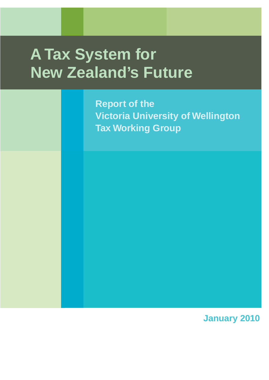# **A Tax System for New Zealand's Future**

**Report of the Victoria University of Wellington Tax Working Group**

**January 2010**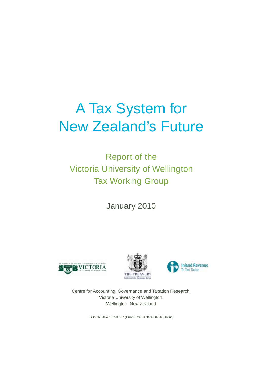# A Tax System for New Zealand's Future

Report of the Victoria University of Wellington Tax Working Group

January 2010







Centre for Accounting, Governance and Taxation Research, Victoria University of Wellington, Wellington, New Zealand

ISBN 978-0-478-35006-7 (Print) 978-0-478-35007-4 (Online)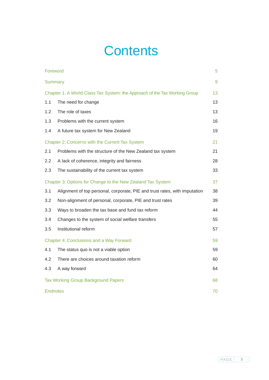## **Contents**

|                                                                            | Foreword                                                                   | 5  |  |
|----------------------------------------------------------------------------|----------------------------------------------------------------------------|----|--|
|                                                                            | <b>Summary</b>                                                             | 9  |  |
| Chapter 1: A World-Class Tax System: the Approach of the Tax Working Group |                                                                            | 13 |  |
| 1.1                                                                        | The need for change                                                        | 13 |  |
| 1.2                                                                        | The role of taxes                                                          | 13 |  |
| 1.3                                                                        | Problems with the current system                                           | 16 |  |
| 1.4                                                                        | A future tax system for New Zealand                                        | 19 |  |
| <b>Chapter 2: Concerns with the Current Tax System</b>                     |                                                                            |    |  |
| 2.1                                                                        | Problems with the structure of the New Zealand tax system                  | 21 |  |
| 2.2                                                                        | A lack of coherence, integrity and fairness                                | 28 |  |
| 2.3                                                                        | The sustainability of the current tax system                               | 33 |  |
| Chapter 3: Options for Change to the New Zealand Tax System                |                                                                            |    |  |
| 3.1                                                                        | Alignment of top personal, corporate, PIE and trust rates, with imputation | 38 |  |
| 3.2                                                                        | Non-alignment of personal, corporate, PIE and trust rates                  | 39 |  |
| 3.3                                                                        | Ways to broaden the tax base and fund tax reform                           | 44 |  |
| 3.4                                                                        | Changes to the system of social welfare transfers                          | 55 |  |
| 3.5                                                                        | Institutional reform                                                       | 57 |  |
| <b>Chapter 4: Conclusions and a Way Forward</b>                            |                                                                            |    |  |
| 4.1                                                                        | The status quo is not a viable option                                      | 59 |  |
| 4.2                                                                        | There are choices around taxation reform                                   | 60 |  |
| 4.3                                                                        | A way forward                                                              | 64 |  |
| <b>Tax Working Group Background Papers</b>                                 |                                                                            |    |  |
|                                                                            | <b>Endnotes</b>                                                            |    |  |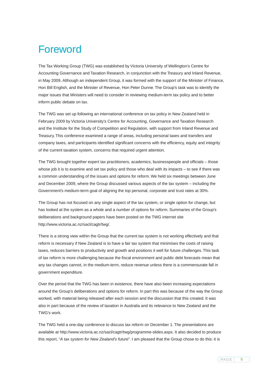### Foreword

The Tax Working Group (TWG) was established by Victoria University of Wellington's Centre for Accounting Governance and Taxation Research, in conjunction with the Treasury and Inland Revenue, in May 2009. Although an independent Group, it was formed with the support of the Minister of Finance, Hon Bill English, and the Minister of Revenue, Hon Peter Dunne. The Group's task was to identify the major issues that Ministers will need to consider in reviewing medium-term tax policy and to better inform public debate on tax.

The TWG was set up following an international conference on tax policy in New Zealand held in February 2009 by Victoria University's Centre for Accounting, Governance and Taxation Research and the Institute for the Study of Competition and Regulation, with support from Inland Revenue and Treasury. This conference examined a range of areas, including personal taxes and transfers and company taxes, and participants identified significant concerns with the efficiency, equity and integrity of the current taxation system, concerns that required urgent attention.

The TWG brought together expert tax practitioners, academics, businesspeople and officials – those whose job it is to examine and set tax policy and those who deal with its impacts – to see if there was a common understanding of the issues and options for reform. We held six meetings between June and December 2009, where the Group discussed various aspects of the tax system – including the Government's medium-term goal of aligning the top personal, corporate and trust rates at 30%.

The Group has not focused on any single aspect of the tax system, or single option for change, but has looked at the system as a whole and a number of options for reform. Summaries of the Group's deliberations and background papers have been posted on the TWG internet site http://www.victoria.ac.nz/sacl/cagtr/twg/.

There is a strong view within the Group that the current tax system is not working effectively and that reform is necessary if New Zealand is to have a fair tax system that minimises the costs of raising taxes, reduces barriers to productivity and growth and positions it well for future challenges. This task of tax reform is more challenging because the fiscal environment and public debt forecasts mean that any tax changes cannot, in the medium-term, reduce revenue unless there is a commensurate fall in government expenditure.

Over the period that the TWG has been in existence, there have also been increasing expectations around the Group's deliberations and options for reform. In part this was because of the way the Group worked, with material being released after each session and the discussion that this created. It was also in part because of the review of taxation in Australia and its relevance to New Zealand and the TWG's work.

The TWG held a one-day conference to discuss tax reform on December 1. The presentations are available at http://www.victoria.ac.nz/sacl/cagtr/twg/programme-slides.aspx. It also decided to produce this report, "*A tax system for New Zealand's future*". I am pleased that the Group chose to do this: it is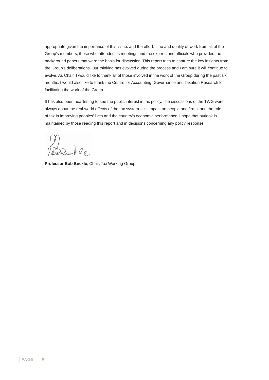appropriate given the importance of this issue, and the effort, time and quality of work from all of the Group's members, those who attended its meetings and the experts and officials who provided the background papers that were the basis for discussion. This report tries to capture the key insights from the Group's deliberations. Our thinking has evolved during the process and I am sure it will continue to evolve. As Chair, I would like to thank all of those involved in the work of the Group during the past six months. I would also like to thank the Centre for Accounting, Governance and Taxation Research for facilitating the work of the Group.

It has also been heartening to see the public interest in tax policy. The discussions of the TWG were always about the real-world effects of the tax system – its impact on people and firms, and the role of tax in improving peoples' lives and the country's economic performance. I hope that outlook is maintained by those reading this report and in decisions concerning any policy response.

 $L_{\varphi}$ 

**Professor Bob Buckle**, Chair, Tax Working Group.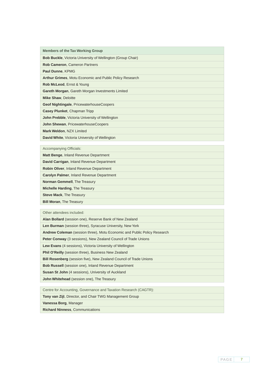| <b>Members of the Tax Working Group</b>                        |  |  |
|----------------------------------------------------------------|--|--|
| Bob Buckle, Victoria University of Wellington (Group Chair)    |  |  |
| <b>Rob Cameron, Cameron Partners</b>                           |  |  |
| Paul Dunne, KPMG                                               |  |  |
| <b>Arthur Grimes, Motu Economic and Public Policy Research</b> |  |  |
| <b>Rob McLeod, Ernst &amp; Young</b>                           |  |  |
| Gareth Morgan, Gareth Morgan Investments Limited               |  |  |
| <b>Mike Shaw, Deloitte</b>                                     |  |  |
| Geof Nightingale, PricewaterhouseCoopers                       |  |  |
| <b>Casey Plunket, Chapman Tripp</b>                            |  |  |
| <b>John Prebble, Victoria University of Wellington</b>         |  |  |
| <b>John Shewan, PricewaterhouseCoopers</b>                     |  |  |
| <b>Mark Weldon, NZX Limited</b>                                |  |  |
| <b>David White, Victoria University of Wellington</b>          |  |  |

Accompanying Officials: **Matt Benge**, Inland Revenue Department **David Carrigan**, Inland Revenue Department **Robin Oliver**, Inland Revenue Department **Carolyn Palmer**, Inland Revenue Department **Norman Gemmell**, The Treasury **Michelle Harding**, The Treasury **Steve Mack**, The Treasury **Bill Moran**, The Treasury

Other attendees included:

**Alan Bollard** (session one), Reserve Bank of New Zealand **Len Burman** (session three), Syracuse University, New York **Andrew Coleman** (session three), Motu Economic and Public Policy Research **Peter Conway** (3 sessions), New Zealand Council of Trade Unions **Lew Evans** (4 sessions), Victoria University of Wellington **Phil O'Reilly** (session three), Business New Zealand **Bill Rosenberg** (session five), New Zealand Council of Trade Unions **Bob Russell** (session one), Inland Revenue Department **Susan St John** (4 sessions), University of Auckland **John Whitehead** (session one), The Treasury

Centre for Accounting, Governance and Taxation Research (CAGTR): **Tony van Zijl**, Director, and Chair TWG Management Group **Vanessa Borg**, Manager **Richard Ninness**, Communications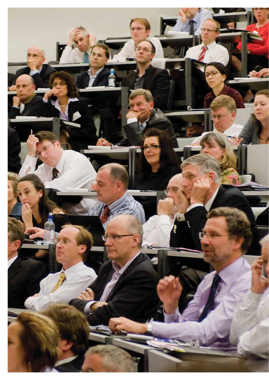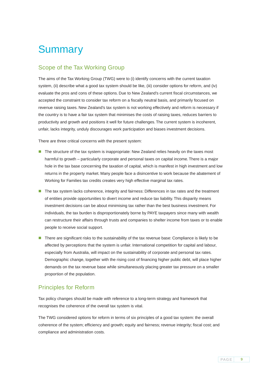## **Summary**

#### Scope of the Tax Working Group

The aims of the Tax Working Group (TWG) were to (i) identify concerns with the current taxation system, (ii) describe what a good tax system should be like, (iii) consider options for reform, and (iv) evaluate the pros and cons of these options. Due to New Zealand's current fiscal circumstances, we accepted the constraint to consider tax reform on a fiscally neutral basis, and primarily focused on revenue raising taxes. New Zealand's tax system is not working effectively and reform is necessary if the country is to have a fair tax system that minimises the costs of raising taxes, reduces barriers to productivity and growth and positions it well for future challenges. The current system is incoherent, unfair, lacks integrity, unduly discourages work participation and biases investment decisions.

There are three critical concerns with the present system:

- The structure of the tax system is inappropriate: New Zealand relies heavily on the taxes most harmful to growth – particularly corporate and personal taxes on capital income. There is a major hole in the tax base concerning the taxation of capital, which is manifest in high investment and low returns in the property market. Many people face a disincentive to work because the abatement of Working for Families tax credits creates very high effective marginal tax rates.
- The tax system lacks coherence, integrity and fairness: Differences in tax rates and the treatment of entities provide opportunities to divert income and reduce tax liability. This disparity means investment decisions can be about minimising tax rather than the best business investment. For individuals, the tax burden is disproportionately borne by PAYE taxpayers since many with wealth can restructure their affairs through trusts and companies to shelter income from taxes or to enable people to receive social support.
- $\blacksquare$  There are significant risks to the sustainability of the tax revenue base: Compliance is likely to be affected by perceptions that the system is unfair. International competition for capital and labour, especially from Australia, will impact on the sustainability of corporate and personal tax rates. Demographic change, together with the rising cost of financing higher public debt, will place higher demands on the tax revenue base while simultaneously placing greater tax pressure on a smaller proportion of the population.

#### Principles for Reform

Tax policy changes should be made with reference to a long-term strategy and framework that recognises the coherence of the overall tax system is vital.

The TWG considered options for reform in terms of six principles of a good tax system: the overall coherence of the system; efficiency and growth; equity and fairness; revenue integrity; fiscal cost; and compliance and administration costs.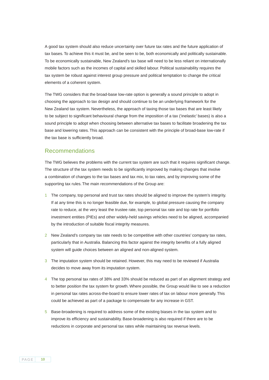A good tax system should also reduce uncertainty over future tax rates and the future application of tax bases. To achieve this it must be, and be seen to be, both economically and politically sustainable. To be economically sustainable, New Zealand's tax base will need to be less reliant on internationally mobile factors such as the incomes of capital and skilled labour. Political sustainability requires the tax system be robust against interest group pressure and political temptation to change the critical elements of a coherent system.

The TWG considers that the broad-base low-rate option is generally a sound principle to adopt in choosing the approach to tax design and should continue to be an underlying framework for the New Zealand tax system. Nevertheless, the approach of taxing those tax bases that are least likely to be subject to significant behavioural change from the imposition of a tax ('inelastic' bases) is also a sound principle to adopt when choosing between alternative tax bases to facilitate broadening the tax base and lowering rates. This approach can be consistent with the principle of broad-base low-rate if the tax base is sufficiently broad.

#### Recommendations

The TWG believes the problems with the current tax system are such that it requires significant change. The structure of the tax system needs to be significantly improved by making changes that involve a combination of changes to the tax bases and tax mix, to tax rates, and by improving some of the supporting tax rules. The main recommendations of the Group are:

- 1 The company, top personal and trust tax rates should be aligned to improve the system's integrity. If at any time this is no longer feasible due, for example, to global pressure causing the company rate to reduce, at the very least the trustee rate, top personal tax rate and top rate for portfolio investment entities (PIEs) and other widely-held savings vehicles need to be aligned, accompanied by the introduction of suitable fiscal integrity measures.
- 2 New Zealand's company tax rate needs to be competitive with other countries' company tax rates, particularly that in Australia. Balancing this factor against the integrity benefits of a fully aligned system will guide choices between an aligned and non-aligned system.
- 3 The imputation system should be retained. However, this may need to be reviewed if Australia decides to move away from its imputation system.
- 4 The top personal tax rates of 38% and 33% should be reduced as part of an alignment strategy and to better position the tax system for growth. Where possible, the Group would like to see a reduction in personal tax rates across-the-board to ensure lower rates of tax on labour more generally. This could be achieved as part of a package to compensate for any increase in GST.
- 5 Base-broadening is required to address some of the existing biases in the tax system and to improve its efficiency and sustainability. Base-broadening is also required if there are to be reductions in corporate and personal tax rates while maintaining tax revenue levels.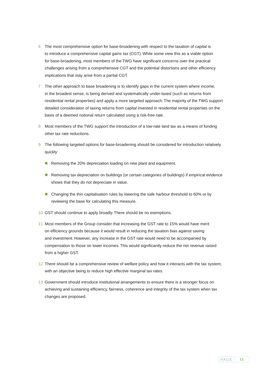- 6 The most comprehensive option for base-broadening with respect to the taxation of capital is to introduce a comprehensive capital gains tax (CGT). While some view this as a viable option for base-broadening, most members of the TWG have significant concerns over the practical challenges arising from a comprehensive CGT and the potential distortions and other efficiency implications that may arise from a partial CGT.
- 7 The other approach to base broadening is to identify gaps in the current system where income, in the broadest sense, is being derived and systematically under-taxed (such as returns from residential rental properties) and apply a more targeted approach. The majority of the TWG support detailed consideration of taxing returns from capital invested in residential rental properties on the basis of a deemed notional return calculated using a risk-free rate.
- 8 Most members of the TWG support the introduction of a low-rate land tax as a means of funding other tax rate reductions.
- 9 The following targeted options for base-broadening should be considered for introduction relatively quickly:
	- Removing the 20% depreciation loading on new plant and equipment.
	- Removing tax depreciation on buildings (or certain categories of buildings) if empirical evidence shows that they do not depreciate in value.
	- **Changing the thin capitalisation rules by lowering the safe harbour threshold to 60% or by** reviewing the base for calculating this measure.
- 10 GST should continue to apply broadly. There should be no exemptions.
- 11 Most members of the Group consider that increasing the GST rate to 15% would have merit on efficiency grounds because it would result in reducing the taxation bias against saving and investment. However, any increase in the GST rate would need to be accompanied by compensation to those on lower incomes. This would significantly reduce the net revenue raised from a higher GST.
- 12 There should be a comprehensive review of welfare policy and how it interacts with the tax system, with an objective being to reduce high effective marginal tax rates.
- 13 Government should introduce institutional arrangements to ensure there is a stronger focus on achieving and sustaining efficiency, fairness, coherence and integrity of the tax system when tax changes are proposed.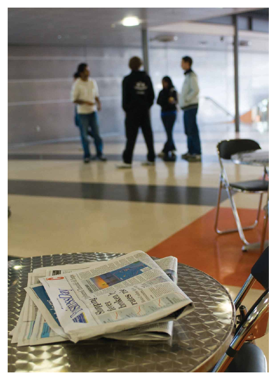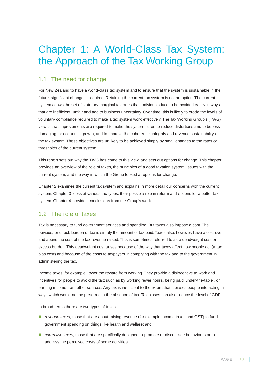## Chapter 1: A World-Class Tax System: the Approach of the Tax Working Group

#### 1.1 The need for change

For New Zealand to have a world-class tax system and to ensure that the system is sustainable in the future, significant change is required. Retaining the current tax system is not an option. The current system allows the set of statutory marginal tax rates that individuals face to be avoided easily in ways that are inefficient, unfair and add to business uncertainty. Over time, this is likely to erode the levels of voluntary compliance required to make a tax system work effectively. The Tax Working Group's (TWG) view is that improvements are required to make the system fairer, to reduce distortions and to be less damaging for economic growth, and to improve the coherence, integrity and revenue sustainability of the tax system. These objectives are unlikely to be achieved simply by small changes to the rates or thresholds of the current system.

This report sets out why the TWG has come to this view, and sets out options for change. This chapter provides an overview of the role of taxes, the principles of a good taxation system, issues with the current system, and the way in which the Group looked at options for change.

Chapter 2 examines the current tax system and explains in more detail our concerns with the current system; Chapter 3 looks at various tax types, their possible role in reform and options for a better tax system. Chapter 4 provides conclusions from the Group's work.

#### 1.2 The role of taxes

Tax is necessary to fund government services and spending. But taxes also impose a cost. The obvious, or direct, burden of tax is simply the amount of tax paid. Taxes also, however, have a cost over and above the cost of the tax revenue raised. This is sometimes referred to as a deadweight cost or excess burden. This deadweight cost arises because of the way that taxes affect how people act (a tax bias cost) and because of the costs to taxpayers in complying with the tax and to the government in administering the tax.<sup>1</sup>

Income taxes, for example, lower the reward from working. They provide a disincentive to work and incentives for people to avoid the tax: such as by working fewer hours, being paid 'under-the-table', or earning income from other sources. Any tax is inefficient to the extent that it biases people into acting in ways which would not be preferred in the absence of tax. Tax biases can also reduce the level of GDP.

In broad terms there are two types of taxes:

- *revenue taxes*, those that are about raising revenue (for example income taxes and GST) to fund government spending on things like health and welfare; and
- **c** corrective taxes, those that are specifically designed to promote or discourage behaviours or to address the perceived costs of some activities.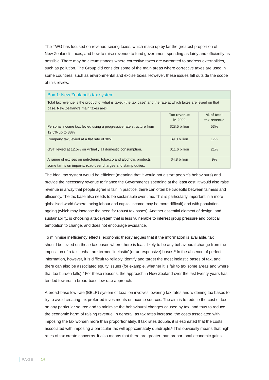The TWG has focused on revenue-raising taxes, which make up by far the greatest proportion of New Zealand's taxes, and how to raise revenue to fund government spending as fairly and efficiently as possible. There may be circumstances where corrective taxes are warranted to address externalities, such as pollution. The Group did consider some of the main areas where corrective taxes are used in some countries, such as environmental and excise taxes. However, these issues fall outside the scope of this review.

#### Box 1: New Zealand's tax system

Total tax revenue is the product of what is taxed (the tax base) and the rate at which taxes are levied on that base. New Zealand's main taxes are:2

|                                                                                                                                  | Tax revenue<br>in 2009 | % of total<br>tax revenue |
|----------------------------------------------------------------------------------------------------------------------------------|------------------------|---------------------------|
| Personal income tax, levied using a progressive rate structure from<br>12.5% up to 38%                                           | \$28.5 billion         | 53%                       |
| Company tax, levied at a flat rate of 30%                                                                                        | \$9.3 billion          | 17%                       |
| GST, levied at 12.5% on virtually all domestic consumption.                                                                      | \$11.6 billion         | 21%                       |
| A range of excises on petroleum, tobacco and alcoholic products,<br>some tariffs on imports, road-user charges and stamp duties. | \$4.8 billion          | 9%                        |

The ideal tax system would be efficient (meaning that it would not distort people's behaviours) and provide the necessary revenue to finance the Government's spending at the least cost. It would also raise revenue in a way that people agree is fair. In practice, there can often be tradeoffs between fairness and efficiency. The tax base also needs to be sustainable over time. This is particularly important in a more globalised world (where taxing labour and capital income may be more difficult) and with population ageing (which may increase the need for robust tax bases). Another essential element of design, and sustainability, is choosing a tax system that is less vulnerable to interest group pressure and political temptation to change, and does not encourage avoidance.

To minimise inefficiency effects, economic theory argues that if the information is available, tax should be levied on those tax bases where there is least likely to be any behavioural change from the imposition of a tax – what are termed 'inelastic' (or unresponsive) bases.<sup>3</sup> In the absence of perfect information, however, it is difficult to reliably identify and target the most inelastic bases of tax, and there can also be associated equity issues (for example, whether it is fair to tax some areas and where that tax burden falls).<sup>4</sup> For these reasons, the approach in New Zealand over the last twenty years has tended towards a broad-base low-rate approach.

A broad-base low-rate (BBLR) system of taxation involves lowering tax rates and widening tax bases to try to avoid creating tax preferred investments or income sources. The aim is to reduce the cost of tax on any particular source and to minimise the behavioural changes caused by tax, and thus to reduce the economic harm of raising revenue. In general, as tax rates increase, the costs associated with imposing the tax worsen more than proportionately. If tax rates double, it is estimated that the costs associated with imposing a particular tax will approximately quadruple.<sup>5</sup> This obviously means that high rates of tax create concerns. It also means that there are greater than proportional economic gains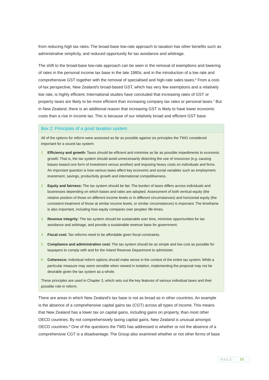from reducing high tax rates. The broad-base low-rate approach to taxation has other benefits such as administrative simplicity, and reduced opportunity for tax avoidance and arbitrage.

The shift to the broad-base low-rate approach can be seen in the removal of exemptions and lowering of rates in the personal income tax base in the late 1980s; and in the introduction of a low rate and comprehensive GST together with the removal of specialised and high-rate sales taxes.<sup>6</sup> From a costof-tax perspective, New Zealand's broad-based GST, which has very few exemptions and a relatively low rate, is highly efficient. International studies have concluded that increasing rates of GST or property taxes are likely to be more efficient than increasing company tax rates or personal taxes.<sup>7</sup> But in New Zealand, there is an additional reason that increasing GST is likely to have lower economic costs than a rise in income tax. This is because of our relatively broad and efficient GST base.

#### Box 2: Principles of a good taxation system

All of the options for reform were assessed as far as possible against six principles the TWG considered important for a sound tax system:

- 1 **Efficiency and growth:** Taxes should be efficient and minimise as far as possible impediments to economic growth. That is, the tax system should avoid unnecessarily distorting the use of resources (e.g. causing biases toward one form of investment versus another) and imposing heavy costs on individuals and firms. An important question is how various taxes affect key economic and social variables such as employment, investment, savings, productivity growth and international competitiveness.
- 2 **Equity and fairness:** The tax system should be fair. The burden of taxes differs across individuals and businesses depending on which bases and rates are adopted. Assessment of both vertical equity (the relative position of those on different income levels or in different circumstances) and horizontal equity (the consistent treatment of those at similar income levels, or similar circumstances) is important. The timeframe is also important, including how equity compares over peoples' life-times.
- 3 **Revenue integrity:** The tax system should be sustainable over time, minimise opportunities for tax avoidance and arbitrage, and provide a sustainable revenue base for government.
- 4 **Fiscal cost:** Tax reforms need to be affordable given fiscal constraints.
- 5 **Compliance and administration cost:** The tax system should be as simple and low cost as possible for taxpayers to comply with and for the Inland Revenue Department to administer.
- 6 **Coherence:** Individual reform options should make sense in the context of the entire tax system. While a particular measure may seem sensible when viewed in isolation, implementing the proposal may not be desirable given the tax system as a whole.

These principles are used in Chapter 3, which sets out the key features of various individual taxes and their possible role in reform.

There are areas in which New Zealand's tax base is not as broad as in other countries. An example is the absence of a comprehensive capital gains tax (CGT) across all types of income. This means that New Zealand has a lower tax on capital gains, including gains on property, than most other OECD countries. By not comprehensively taxing capital gains, New Zealand is unusual amongst OECD countries.<sup>8</sup> One of the questions the TWG has addressed is whether or not the absence of a comprehensive CGT is a disadvantage. The Group also examined whether or not other forms of base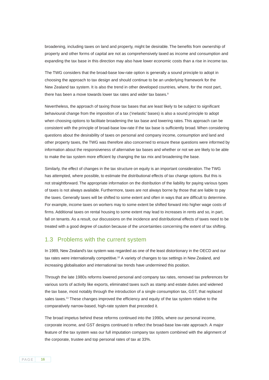broadening, including taxes on land and property, might be desirable. The benefits from ownership of property and other forms of capital are not as comprehensively taxed as income and consumption and expanding the tax base in this direction may also have lower economic costs than a rise in income tax.

The TWG considers that the broad-base low-rate option is generally a sound principle to adopt in choosing the approach to tax design and should continue to be an underlying framework for the New Zealand tax system. It is also the trend in other developed countries, where, for the most part, there has been a move towards lower tax rates and wider tax bases.<sup>9</sup>

Nevertheless, the approach of taxing those tax bases that are least likely to be subject to significant behavioural change from the imposition of a tax ('inelastic' bases) is also a sound principle to adopt when choosing options to facilitate broadening the tax base and lowering rates. This approach can be consistent with the principle of broad-base low-rate if the tax base is sufficiently broad. When considering questions about the desirability of taxes on personal and company income, consumption and land and other property taxes, the TWG was therefore also concerned to ensure these questions were informed by information about the responsiveness of alternative tax bases and whether or not we are likely to be able to make the tax system more efficient by changing the tax mix and broadening the base.

Similarly, the effect of changes in the tax structure on equity is an important consideration. The TWG has attempted, where possible, to estimate the distributional effects of tax change options. But this is not straightforward. The appropriate information on the distribution of the liability for paying various types of taxes is not always available. Furthermore, taxes are not always borne by those that are liable to pay the taxes. Generally taxes will be shifted to some extent and often in ways that are difficult to determine. For example, income taxes on workers may to some extent be shifted forward into higher wage costs of firms. Additional taxes on rental housing to some extent may lead to increases in rents and so, in part, fall on tenants. As a result, our discussions on the incidence and distributional effects of taxes need to be treated with a good degree of caution because of the uncertainties concerning the extent of tax shifting.

#### 1.3 Problems with the current system

In 1989, New Zealand's tax system was regarded as one of the least distortionary in the OECD and our tax rates were internationally competitive.10 A variety of changes to tax settings in New Zealand, and increasing globalisation and international tax trends have undermined this position.

Through the late 1980s reforms lowered personal and company tax rates, removed tax preferences for various sorts of activity like exports, eliminated taxes such as stamp and estate duties and widened the tax base, most notably through the introduction of a single consumption tax, GST, that replaced sales taxes.<sup>11</sup> These changes improved the efficiency and equity of the tax system relative to the comparatively narrow-based, high-rate system that preceded it.

The broad impetus behind these reforms continued into the 1990s, where our personal income, corporate income, and GST designs continued to reflect the broad-base low-rate approach. A major feature of the tax system was our full imputation company tax system combined with the alignment of the corporate, trustee and top personal rates of tax at 33%.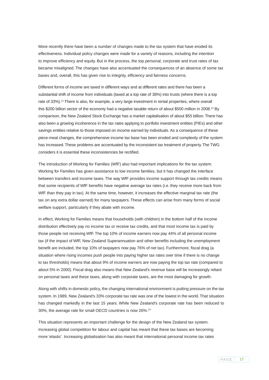More recently there have been a number of changes made to the tax system that have eroded its effectiveness. Individual policy changes were made for a variety of reasons, including the intention to improve efficiency and equity. But in the process, the top personal, corporate and trust rates of tax became misaligned. The changes have also accentuated the consequences of an absence of some tax bases and, overall, this has given rise to integrity, efficiency and fairness concerns.

Different forms of income are taxed in different ways and at different rates and there has been a substantial shift of income from individuals (taxed at a top rate of 38%) into trusts (where there is a top rate of 33%).<sup>12</sup> There is also, for example, a very large investment in rental properties, where overall this \$200 billion sector of the economy had a negative taxable return of about \$500 million in 2008.13 By comparison, the New Zealand Stock Exchange has a market capitalisation of about \$55 billion. There has also been a growing incoherence in the tax rates applying to portfolio investment entities (PIEs) and other savings entities relative to those imposed on income earned by individuals. As a consequence of these piece-meal changes, the comprehensive income tax base has been eroded and complexity of the system has increased. These problems are accentuated by the inconsistent tax treatment of property. The TWG considers it is essential these inconsistencies be rectified.

The introduction of Working for Families (WfF) also had important implications for the tax system. Working for Families has given assistance to low income families, but it has changed the interface between transfers and income taxes. The way WfF provides income support through tax credits means that some recipients of WfF benefits have negative average tax rates (i.e. they receive more back from WfF than they pay in tax). At the same time, however, it increases the effective marginal tax rate (the tax on any extra dollar earned) for many taxpayers. These effects can arise from many forms of social welfare support, particularly if they abate with income.

In effect, Working for Families means that households (with children) in the bottom half of the income distribution effectively pay no income tax or receive tax credits, and that most income tax is paid by those people not receiving WfF. The top 10% of income earners now pay 44% of all personal income tax (if the impact of WfF, New Zealand Superannuation and other benefits including the unemployment benefit are included, the top 10% of taxpayers now pay 76% of net tax). Furthermore, fiscal drag (a situation where rising incomes push people into paying higher tax rates over time if there is no change to tax thresholds) means that about 9% of income earners are now paying the top tax rate (compared to about 5% in 2000). Fiscal drag also means that New Zealand's revenue base will be increasingly reliant on personal taxes and these taxes, along with corporate taxes, are the most damaging for growth.

Along with shifts in domestic policy, the changing international environment is putting pressure on the tax system. In 1989, New Zealand's 33% corporate tax rate was one of the lowest in the world. That situation has changed markedly in the last 15 years. While New Zealand's corporate rate has been reduced to 30%, the average rate for small OECD countries is now 26%.14

This situation represents an important challenge for the design of the New Zealand tax system. Increasing global competition for labour and capital has meant that these tax bases are becoming more 'elastic'. Increasing globalisation has also meant that international personal income tax rates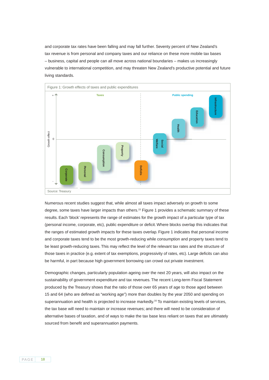and corporate tax rates have been falling and may fall further. Seventy percent of New Zealand's tax revenue is from personal and company taxes and our reliance on these more mobile tax bases – business, capital and people can all move across national boundaries – makes us increasingly vulnerable to international competition, and may threaten New Zealand's productive potential and future living standards.



Numerous recent studies suggest that, while almost all taxes impact adversely on growth to some degree, some taxes have larger impacts than others.15 Figure 1 provides a schematic summary of these results. Each 'block' represents the range of estimates for the growth impact of a particular type of tax (personal income, corporate, etc), public expenditure or deficit. Where blocks overlap this indicates that the ranges of estimated growth impacts for these taxes overlap. Figure 1 indicates that personal income and corporate taxes tend to be the most growth-reducing while consumption and property taxes tend to be least growth-reducing taxes. This may reflect the level of the relevant tax rates and the structure of those taxes in practice (e.g. extent of tax exemptions, progressivity of rates, etc). Large deficits can also be harmful, in part because high government borrowing can crowd out private investment.

Demographic changes, particularly population ageing over the next 20 years, will also impact on the sustainability of government expenditure and tax revenues. The recent Long-term Fiscal Statement produced by the Treasury shows that the ratio of those over 65 years of age to those aged between 15 and 64 (who are defined as "working age") more than doubles by the year 2050 and spending on superannuation and health is projected to increase markedly.<sup>16</sup> To maintain existing levels of services, the tax base will need to maintain or increase revenues; and there will need to be consideration of alternative bases of taxation, and of ways to make the tax base less reliant on taxes that are ultimately sourced from benefit and superannuation payments.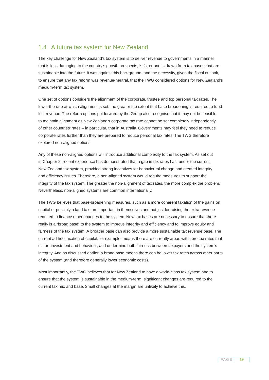#### 1.4 A future tax system for New Zealand

The key challenge for New Zealand's tax system is to deliver revenue to governments in a manner that is less damaging to the country's growth prospects, is fairer and is drawn from tax bases that are sustainable into the future. It was against this background, and the necessity, given the fiscal outlook, to ensure that any tax reform was revenue-neutral, that the TWG considered options for New Zealand's medium-term tax system.

One set of options considers the alignment of the corporate, trustee and top personal tax rates. The lower the rate at which alignment is set, the greater the extent that base broadening is required to fund lost revenue. The reform options put forward by the Group also recognise that it may not be feasible to maintain alignment as New Zealand's corporate tax rate cannot be set completely independently of other countries' rates – in particular, that in Australia. Governments may feel they need to reduce corporate rates further than they are prepared to reduce personal tax rates. The TWG therefore explored non-aligned options.

Any of these non-aligned options will introduce additional complexity to the tax system. As set out in Chapter 2, recent experience has demonstrated that a gap in tax rates has, under the current New Zealand tax system, provided strong incentives for behavioural change and created integrity and efficiency issues. Therefore, a non-aligned system would require measures to support the integrity of the tax system. The greater the non-alignment of tax rates, the more complex the problem. Nevertheless, non-aligned systems are common internationally.

The TWG believes that base-broadening measures, such as a more coherent taxation of the gains on capital or possibly a land tax, are important in themselves and not just for raising the extra revenue required to finance other changes to the system. New tax bases are necessary to ensure that there really is a "broad base" to the system to improve integrity and efficiency and to improve equity and fairness of the tax system. A broader base can also provide a more sustainable tax revenue base. The current ad hoc taxation of capital, for example, means there are currently areas with zero tax rates that distort investment and behaviour, and undermine both fairness between taxpayers and the system's integrity. And as discussed earlier, a broad base means there can be lower tax rates across other parts of the system (and therefore generally lower economic costs).

Most importantly, the TWG believes that for New Zealand to have a world-class tax system and to ensure that the system is sustainable in the medium-term, significant changes are required to the current tax mix and base. Small changes at the margin are unlikely to achieve this.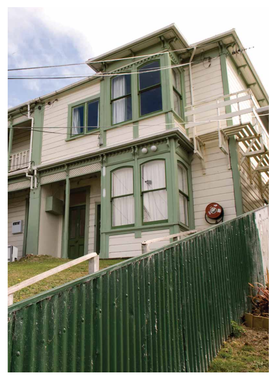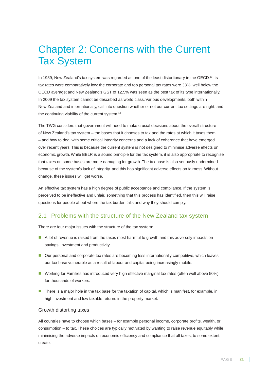## Chapter 2: Concerns with the Current Tax System

In 1989, New Zealand's tax system was regarded as one of the least distortionary in the OECD.<sup>17</sup> Its tax rates were comparatively low: the corporate and top personal tax rates were 33%, well below the OECD average; and New Zealand's GST of 12.5% was seen as the best tax of its type internationally. In 2009 the tax system cannot be described as world class. Various developments, both within New Zealand and internationally, call into question whether or not our current tax settings are right, and the continuing viability of the current system.<sup>18</sup>

The TWG considers that government will need to make crucial decisions about the overall structure of New Zealand's tax system – the bases that it chooses to tax and the rates at which it taxes them – and how to deal with some critical integrity concerns and a lack of coherence that have emerged over recent years. This is because the current system is not designed to minimise adverse effects on economic growth. While BBLR is a sound principle for the tax system, it is also appropriate to recognise that taxes on some bases are more damaging for growth. The tax base is also seriously undermined because of the system's lack of integrity, and this has significant adverse effects on fairness. Without change, these issues will get worse.

An effective tax system has a high degree of public acceptance and compliance. If the system is perceived to be ineffective and unfair, something that this process has identified, then this will raise questions for people about where the tax burden falls and why they should comply.

#### 2.1 Problems with the structure of the New Zealand tax system

There are four major issues with the structure of the tax system:

- A lot of revenue is raised from the taxes most harmful to growth and this adversely impacts on savings, investment and productivity.
- Our personal and corporate tax rates are becoming less internationally competitive, which leaves our tax base vulnerable as a result of labour and capital being increasingly mobile.
- **Norking for Families has introduced very high effective marginal tax rates (often well above 50%)** for thousands of workers.
- $\blacksquare$  There is a major hole in the tax base for the taxation of capital, which is manifest, for example, in high investment and low taxable returns in the property market.

#### Growth distorting taxes

All countries have to choose which bases – for example personal income, corporate profits, wealth, or consumption – to tax. These choices are typically motivated by wanting to raise revenue equitably while minimising the adverse impacts on economic efficiency and compliance that all taxes, to some extent, create.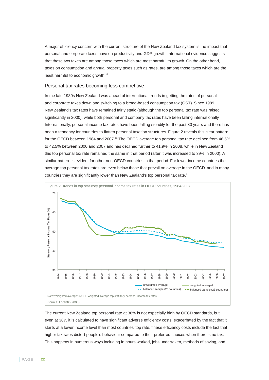A major efficiency concern with the current structure of the New Zealand tax system is the impact that personal and corporate taxes have on productivity and GDP growth. International evidence suggests that these two taxes are among those taxes which are most harmful to growth. On the other hand, taxes on consumption and annual property taxes such as rates, are among those taxes which are the least harmful to economic growth.19

#### Personal tax rates becoming less competitive

In the late 1980s New Zealand was ahead of international trends in getting the rates of personal and corporate taxes down and switching to a broad-based consumption tax (GST). Since 1989, New Zealand's tax rates have remained fairly static (although the top personal tax rate was raised significantly in 2000), while both personal and company tax rates have been falling internationally. Internationally, personal income tax rates have been falling steadily for the past 30 years and there has been a tendency for countries to flatten personal taxation structures. Figure 2 reveals this clear pattern for the OECD between 1984 and 2007.<sup>20</sup> The OECD average top personal tax rate declined from 46.5% to 42.5% between 2000 and 2007 and has declined further to 41.9% in 2008, while in New Zealand this top personal tax rate remained the same in that period (after it was increased to 39% in 2000). A similar pattern is evident for other non-OECD countries in that period. For lower income countries the average top personal tax rates are even below those that prevail on average in the OECD, and in many countries they are significantly lower than New Zealand's top personal tax rate.<sup>21</sup>



The current New Zealand top personal rate at 38% is not especially high by OECD standards, but even at 38% it is calculated to have significant adverse efficiency costs, exacerbated by the fact that it starts at a lower income level than most countries' top rate. These efficiency costs include the fact that higher tax rates distort people's behaviour compared to their preferred choices when there is no tax. This happens in numerous ways including in hours worked, jobs undertaken, methods of saving, and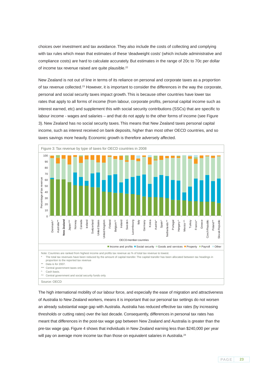choices over investment and tax avoidance. They also include the costs of collecting and complying with tax rules which mean that estimates of these 'deadweight costs' (which include administrative and compliance costs) are hard to calculate accurately. But estimates in the range of 20c to 70c per dollar of income tax revenue raised are quite plausible.<sup>22</sup>

New Zealand is not out of line in terms of its reliance on personal and corporate taxes as a proportion of tax revenue collected.<sup>23</sup> However, it is important to consider the differences in the way the corporate, personal and social security taxes impact growth. This is because other countries have lower tax rates that apply to all forms of income (from labour, corporate profits, personal capital income such as interest earned, etc) and supplement this with social security contributions (SSCs) that are specific to labour income - wages and salaries – and that do not apply to the other forms of income (see Figure 3). New Zealand has no social security taxes. This means that New Zealand taxes personal capital income, such as interest received on bank deposits, higher than most other OECD countries, and so taxes savings more heavily. Economic growth is therefore adversely affected.



Data is for 2007

\*\*\* Central government taxes only.

Cash basis.

^^ Central government and social security funds only.

Source: OECD

The high international mobility of our labour force, and especially the ease of migration and attractiveness of Australia to New Zealand workers, means it is important that our personal tax settings do not worsen an already substantial wage gap with Australia. Australia has reduced effective tax rates (by increasing thresholds or cutting rates) over the last decade. Consequently, differences in personal tax rates has meant that differences in the post-tax wage gap between New Zealand and Australia is greater than the pre-tax wage gap. Figure 4 shows that individuals in New Zealand earning less than \$240,000 per year will pay on average more income tax than those on equivalent salaries in Australia.<sup>24</sup>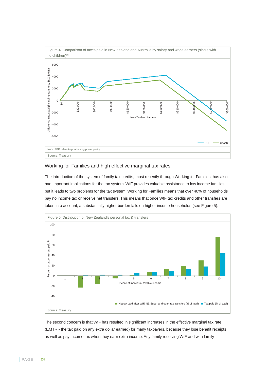

#### Working for Families and high effective marginal tax rates

The introduction of the system of family tax credits, most recently through Working for Families, has also had important implications for the tax system. WfF provides valuable assistance to low income families, but it leads to two problems for the tax system. Working for Families means that over 40% of households pay no income tax or receive net transfers. This means that once WfF tax credits and other transfers are taken into account, a substantially higher burden falls on higher income households (see Figure 5).



The second concern is that WfF has resulted in significant increases in the effective marginal tax rate (EMTR - the tax paid on any extra dollar earned) for many taxpayers, because they lose benefit receipts as well as pay income tax when they earn extra income. Any family receiving WfF and with family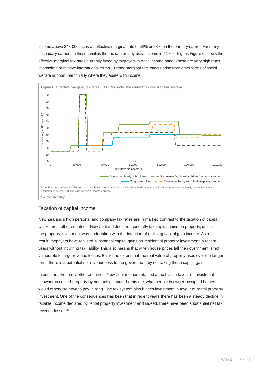income above \$48,000 faces an effective marginal rate of 53% or 58% on the primary earner. For many secondary earners in these families the tax rate on any extra income is 41% or higher. Figure 6 shows the effective marginal tax rates currently faced by taxpayers in each income band. These are very high rates in absolute or relative international terms. Further marginal rate effects arise from other forms of social welfare support, particularly where they abate with income.



#### Taxation of capital income

New Zealand's high personal and company tax rates are in marked contrast to the taxation of capital. Unlike most other countries, New Zealand does not generally tax capital gains on property, unless the property investment was undertaken with the intention of realising capital gain income. As a result, taxpayers have realised substantial capital gains on residential property investment in recent years without incurring tax liability. This also means that when house prices fall the government is not vulnerable to large revenue losses. But to the extent that the real value of property rises over the longer term, there is a potential net revenue loss to the government by not taxing these capital gains.

In addition, like many other countries, New Zealand has retained a tax bias in favour of investment in owner occupied property by not taxing imputed rents (i.e. what people in owner-occupied homes would otherwise have to pay in rent). The tax system also biases investment in favour of rental property investment. One of the consequences has been that in recent years there has been a steady decline in taxable income declared by rental property investment and indeed, there have been substantial net tax revenue losses.26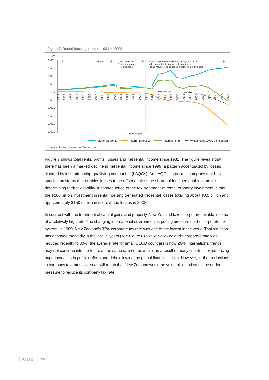

Figure 7 shows total rental profits, losses and net rental income since 1981. The figure reveals that there has been a marked decline in net rental income since 1999, a pattern accentuated by losses claimed by loss attributing qualifying companies (LAQCs). An LAQC is a normal company that has special tax status that enables losses to be offset against the shareholders' personal income for determining their tax liability. A consequence of the tax treatment of rental property investment is that the \$200 billion investment in rental housing generated net rental losses totalling about \$0.5 billion and approximately \$150 million in tax revenue losses in 2008.

In contrast with the treatment of capital gains and property, New Zealand taxes corporate taxable income at a relatively high rate. The changing international environment is putting pressure on the corporate tax system. In 1989, New Zealand's 33% corporate tax rate was one of the lowest in the world. That situation has changed markedly in the last 15 years (see Figure 8). While New Zealand's corporate rate was reduced recently to 30%, the average rate for small OECD countries is now 26%. International trends may not continue into the future at the same rate (for example, as a result of many countries experiencing huge increases in public deficits and debt following the global financial crisis). However, further reductions in company tax rates overseas will mean that New Zealand would be vulnerable and would be under pressure to reduce its company tax rate.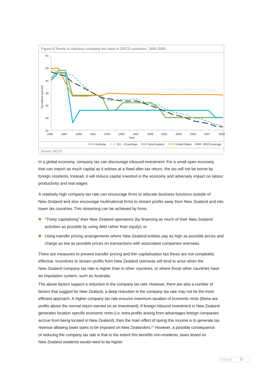

In a global economy, company tax can discourage inbound investment. For a small open economy that can import as much capital as it wishes at a fixed after-tax return, the tax will not be borne by foreign residents. Instead, it will reduce capital invested in the economy and adversely impact on labour productivity and real wages.

A relatively high company tax rate can encourage firms to relocate business functions outside of New Zealand and also encourage multinational firms to stream profits away from New Zealand and into lower tax countries. This streaming can be achieved by firms:

- "Thinly capitalising" their New Zealand operations (by financing as much of their New Zealand activities as possible by using debt rather than equity); or
- **Using transfer pricing arrangements where New Zealand entities pay as high as possible prices and** charge as low as possible prices on transactions with associated companies overseas.

There are measures to prevent transfer pricing and thin capitalisation but these are not completely effective. Incentives to stream profits from New Zealand overseas will tend to arise when the New Zealand company tax rate is higher than in other countries, or where those other countries have an imputation system, such as Australia.

The above factors support a reduction in the company tax rate. However, there are also a number of factors that suggest for New Zealand, a deep reduction in the company tax rate may not be the most efficient approach. A higher company tax rate ensures maximum taxation of economic rents (these are profits above the normal return earned on an investment). If foreign inbound investment in New Zealand generates location specific economic rents (i.e. extra profits arising from advantages foreign companies accrue from being located in New Zealand), then the main effect of taxing this income is to generate tax revenue allowing lower taxes to be imposed on New Zealanders.<sup>27</sup> However, a possible consequence of reducing the company tax rate is that to the extent this benefits non-residents, taxes levied on New Zealand residents would need to be higher.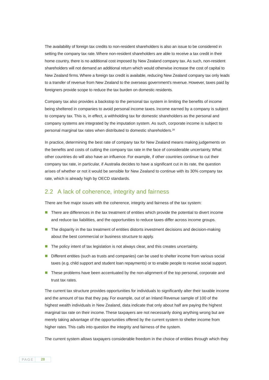The availability of foreign tax credits to non-resident shareholders is also an issue to be considered in setting the company tax rate. Where non-resident shareholders are able to receive a tax credit in their home country, there is no additional cost imposed by New Zealand company tax. As such, non-resident shareholders will not demand an additional return which would otherwise increase the cost of capital to New Zealand firms. Where a foreign tax credit is available, reducing New Zealand company tax only leads to a transfer of revenue from New Zealand to the overseas government's revenue. However, taxes paid by foreigners provide scope to reduce the tax burden on domestic residents.

Company tax also provides a backstop to the personal tax system in limiting the benefits of income being sheltered in companies to avoid personal income taxes. Income earned by a company is subject to company tax. This is, in effect, a withholding tax for domestic shareholders as the personal and company systems are integrated by the imputation system. As such, corporate income is subject to personal marginal tax rates when distributed to domestic shareholders.28

In practice, determining the best rate of company tax for New Zealand means making judgements on the benefits and costs of cutting the company tax rate in the face of considerable uncertainty. What other countries do will also have an influence. For example, if other countries continue to cut their company tax rate, in particular, if Australia decides to have a significant cut in its rate, the question arises of whether or not it would be sensible for New Zealand to continue with its 30% company tax rate, which is already high by OECD standards.

#### 2.2 A lack of coherence, integrity and fairness

There are five major issues with the coherence, integrity and fairness of the tax system:

- **There are differences in the tax treatment of entities which provide the potential to divert income** and reduce tax liabilities, and the opportunities to reduce taxes differ across income groups.
- $\blacksquare$  The disparity in the tax treatment of entities distorts investment decisions and decision-making about the best commercial or business structure to apply.
- The policy intent of tax legislation is not always clear, and this creates uncertainty.
- Different entities (such as trusts and companies) can be used to shelter income from various social taxes (e.g. child support and student loan repayments) or to enable people to receive social support.
- **These problems have been accentuated by the non-alignment of the top personal, corporate and** trust tax rates.

The current tax structure provides opportunities for individuals to significantly alter their taxable income and the amount of tax that they pay. For example, out of an Inland Revenue sample of 100 of the highest wealth individuals in New Zealand, data indicate that only about half are paying the highest marginal tax rate on their income. These taxpayers are not necessarily doing anything wrong but are merely taking advantage of the opportunities offered by the current system to shelter income from higher rates. This calls into question the integrity and fairness of the system.

The current system allows taxpayers considerable freedom in the choice of entities through which they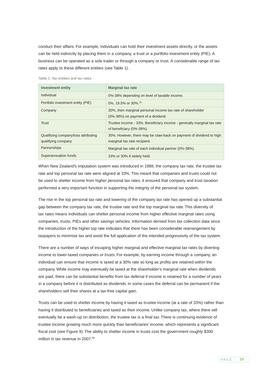conduct their affairs. For example, individuals can hold their investment assets directly, or the assets can be held indirectly by placing them in a company, a trust or a portfolio investment entity (PIE). A business can be operated as a sole trader or through a company or trust. A considerable range of tax rates apply to these different entities (see Table 1).

Table 1: Tax entities and tax rates

| <b>Investment entity</b>                                  | <b>Marginal tax rate</b>                                                                            |
|-----------------------------------------------------------|-----------------------------------------------------------------------------------------------------|
| Individual                                                | 0%-38% depending on level of taxable income.                                                        |
| Portfolio investment entity (PIE)                         | 0%, 19.5% or 30%. <sup>29</sup>                                                                     |
| Company                                                   | 30%, then marginal personal income tax rate of shareholder<br>(0%-38%) on payment of a dividend.    |
| <b>Trust</b>                                              | Trustee income - 33%. Beneficiary income - generally marginal tax rate<br>of beneficiary (0%-38%).  |
| Qualifying company/loss attributing<br>qualifying company | 30%. However, there may be claw-back on payment of dividend to high<br>marginal tax rate recipient. |
| <b>Partnerships</b>                                       | Marginal tax rate of each individual partner (0%-38%).                                              |
| Superannuation funds                                      | 33% or 30% if widely held.                                                                          |

When New Zealand's imputation system was introduced in 1988, the company tax rate, the trustee tax rate and top personal tax rate were aligned at 33%. This meant that companies and trusts could not be used to shelter income from higher personal tax rates. It ensured that company and trust taxation performed a very important function in supporting the integrity of the personal tax system.

The rise in the top personal tax rate and lowering of the company tax rate has opened up a substantial gap between the company tax rate, the trustee rate and the top marginal tax rate. This diversity of tax rates means individuals can shelter personal income from higher effective marginal rates using companies, trusts, PIEs and other savings vehicles. Information derived from tax collection data since the introduction of the higher top rate indicates that there has been considerable rearrangement by taxpayers to minimise tax and avoid the full application of the intended progressivity of the tax system.

There are a number of ways of escaping higher marginal and effective marginal tax rates by diverting income to lower-taxed companies or trusts. For example, by earning income through a company, an individual can ensure that income is taxed at a 30% rate so long as profits are retained within the company. While income may eventually be taxed at the shareholder's marginal rate when dividends are paid, there can be substantial benefits from tax deferral if income is retained for a number of years in a company before it is distributed as dividends. In some cases the deferral can be permanent if the shareholders sell their shares at a tax-free capital gain.

Trusts can be used to shelter income by having it taxed as trustee income (at a rate of 33%) rather than having it distributed to beneficiaries and taxed as their income. Unlike company tax, where there will eventually be a wash-up on distribution, the trustee tax is a final tax. There is continuing evidence of trustee income growing much more quickly than beneficiaries' income, which represents a significant fiscal cost (see Figure 9). The ability to shelter income in trusts cost the government roughly \$300 million in tax revenue in 2007.<sup>30</sup>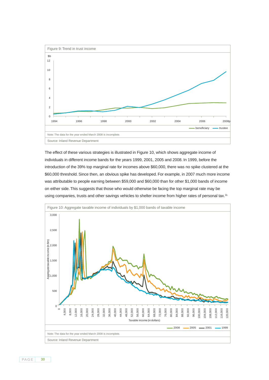

The effect of these various strategies is illustrated in Figure 10, which shows aggregate income of individuals in different income bands for the years 1999, 2001, 2005 and 2008. In 1999, before the introduction of the 39% top marginal rate for incomes above \$60,000, there was no spike clustered at the \$60,000 threshold. Since then, an obvious spike has developed. For example, in 2007 much more income was attributable to people earning between \$59,000 and \$60,000 than for other \$1,000 bands of income on either side. This suggests that those who would otherwise be facing the top marginal rate may be using companies, trusts and other savings vehicles to shelter income from higher rates of personal tax.31

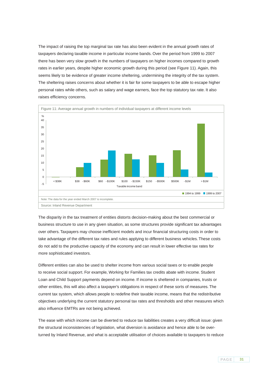The impact of raising the top marginal tax rate has also been evident in the annual growth rates of taxpayers declaring taxable income in particular income bands. Over the period from 1999 to 2007 there has been very slow growth in the numbers of taxpayers on higher incomes compared to growth rates in earlier years, despite higher economic growth during this period (see Figure 11). Again, this seems likely to be evidence of greater income sheltering, undermining the integrity of the tax system. The sheltering raises concerns about whether it is fair for some taxpayers to be able to escape higher personal rates while others, such as salary and wage earners, face the top statutory tax rate. It also raises efficiency concerns.



The disparity in the tax treatment of entities distorts decision-making about the best commercial or business structure to use in any given situation, as some structures provide significant tax advantages over others. Taxpayers may choose inefficient models and incur financial structuring costs in order to take advantage of the different tax rates and rules applying to different business vehicles. These costs do not add to the productive capacity of the economy and can result in lower effective tax rates for more sophisticated investors.

Different entities can also be used to shelter income from various social taxes or to enable people to receive social support. For example, Working for Families tax credits abate with income. Student Loan and Child Support payments depend on income. If income is sheltered in companies, trusts or other entities, this will also affect a taxpayer's obligations in respect of these sorts of measures. The current tax system, which allows people to redefine their taxable income, means that the redistributive objectives underlying the current statutory personal tax rates and thresholds and other measures which also influence EMTRs are not being achieved.

The ease with which income can be diverted to reduce tax liabilities creates a very difficult issue: given the structural inconsistencies of legislation, what diversion is avoidance and hence able to be overturned by Inland Revenue, and what is acceptable utilisation of choices available to taxpayers to reduce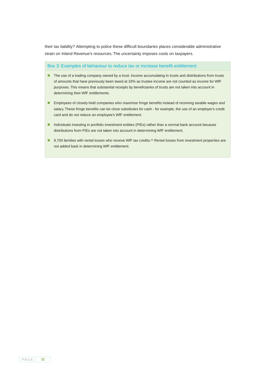their tax liability? Attempting to police these difficult boundaries places considerable administrative strain on Inland Revenue's resources. The uncertainty imposes costs on taxpayers.

Box 3: Examples of behaviour to reduce tax or increase benefit entitlement:

- The use of a trading company owned by a trust. Income accumulating in trusts and distributions from trusts of amounts that have previously been taxed at 33% as trustee income are not counted as income for WfF purposes. This means that substantial receipts by beneficiaries of trusts are not taken into account in determining their WfF entitlements.
- **Employees of closely-held companies who maximise fringe benefits instead of receiving taxable wages and** salary. These fringe benefits can be close substitutes for cash - for example, the use of an employer's credit card and do not reduce an employee's WfF entitlement.
- Individuals investing in portfolio investment entities (PIEs) rather than a normal bank account because distributions from PIEs are not taken into account in determining WfF entitlement.
- 9,700 families with rental losses who receive WfF tax credits.<sup>32</sup> Rental losses from investment properties are not added back in determining WfF entitlement.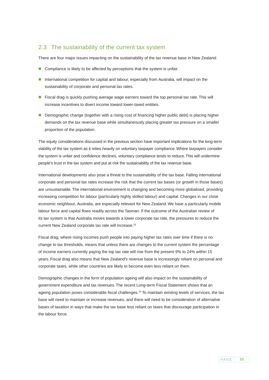#### 2.3 The sustainability of the current tax system

There are four major issues impacting on the sustainability of the tax revenue base in New Zealand:

- Compliance is likely to be affected by perceptions that the system is unfair.
- **International competition for capital and labour, especially from Australia, will impact on the** sustainability of corporate and personal tax rates.
- $\blacksquare$  Fiscal drag is quickly pushing average wage earners toward the top personal tax rate. This will increase incentives to divert income toward lower-taxed entities.
- Demographic change (together with a rising cost of financing higher public debt) is placing higher demands on the tax revenue base while simultaneously placing greater tax pressure on a smaller proportion of the population.

The equity considerations discussed in the previous section have important implications for the long-term viability of the tax system as it relies heavily on voluntary taxpayer compliance. Where taxpayers consider the system is unfair and confidence declines, voluntary compliance tends to reduce. This will undermine people's trust in the tax system and put at risk the sustainability of the tax revenue base.

International developments also pose a threat to the sustainability of the tax base. Falling international corporate and personal tax rates increase the risk that the current tax bases (or growth in those bases) are unsustainable. The international environment is changing and becoming more globalised, providing increasing competition for labour (particularly highly skilled labour) and capital. Changes in our close economic neighbour, Australia, are especially relevant for New Zealand. We have a particularly mobile labour force and capital flows readily across the Tasman. If the outcome of the Australian review of its tax system is that Australia moves towards a lower corporate tax rate, the pressures to reduce the current New Zealand corporate tax rate will increase.<sup>33</sup>

Fiscal drag, where rising incomes push people into paying higher tax rates over time if there is no change to tax thresholds, means that unless there are changes to the current system the percentage of income earners currently paying the top tax rate will rise from the present 9% to 24% within 15 years. Fiscal drag also means that New Zealand's revenue base is increasingly reliant on personal and corporate taxes, while other countries are likely to become even less reliant on them.

Demographic changes in the form of population ageing will also impact on the sustainability of government expenditure and tax revenues. The recent Long-term Fiscal Statement shows that an ageing population poses considerable fiscal challenges.<sup>34</sup> To maintain existing levels of services, the tax base will need to maintain or increase revenues, and there will need to be consideration of alternative bases of taxation in ways that make the tax base less reliant on taxes that discourage participation in the labour force.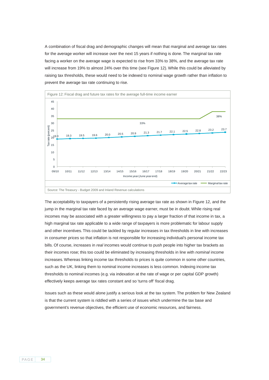A combination of fiscal drag and demographic changes will mean that marginal and average tax rates for the average worker will increase over the next 15 years if nothing is done. The marginal tax rate facing a worker on the average wage is expected to rise from 33% to 38%, and the average tax rate will increase from 19% to almost 24% over this time (see Figure 12). While this could be alleviated by raising tax thresholds, these would need to be indexed to nominal wage growth rather than inflation to prevent the average tax rate continuing to rise.



The acceptability to taxpayers of a persistently rising average tax rate as shown in Figure 12, and the jump in the marginal tax rate faced by an average wage earner, must be in doubt. While rising real incomes may be associated with a greater willingness to pay a larger fraction of that income in tax, a high marginal tax rate applicable to a wide range of taxpayers is more problematic for labour supply and other incentives. This could be tackled by regular increases in tax thresholds in line with increases in consumer prices so that inflation is not responsible for increasing individual's personal income tax bills. Of course, increases in *real* incomes would continue to push people into higher tax brackets as their incomes rose; this too could be eliminated by increasing thresholds in line with *nominal* income increases. Whereas linking income tax thresholds to prices is quite common in some other countries, such as the UK, linking them to nominal income increases is less common. Indexing income tax thresholds to nominal incomes (e.g. via indexation at the rate of wage or per capital GDP growth) effectively keeps average tax rates constant and so 'turns off' fiscal drag.

Issues such as these would alone justify a serious look at the tax system. The problem for New Zealand is that the current system is riddled with a series of issues which undermine the tax base and government's revenue objectives, the efficient use of economic resources, and fairness.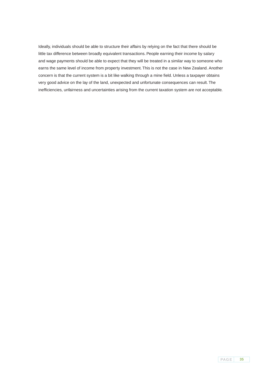Ideally, individuals should be able to structure their affairs by relying on the fact that there should be little tax difference between broadly equivalent transactions. People earning their income by salary and wage payments should be able to expect that they will be treated in a similar way to someone who earns the same level of income from property investment. This is not the case in New Zealand. Another concern is that the current system is a bit like walking through a mine field. Unless a taxpayer obtains very good advice on the lay of the land, unexpected and unfortunate consequences can result. The inefficiencies, unfairness and uncertainties arising from the current taxation system are not acceptable.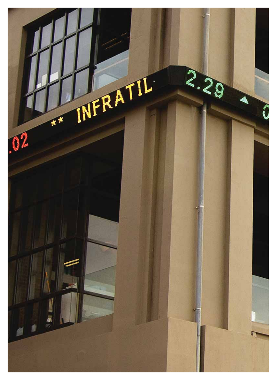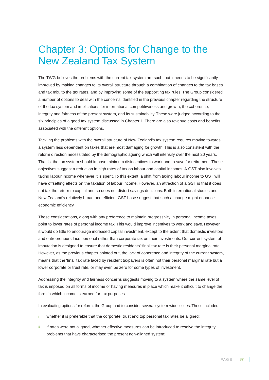## Chapter 3: Options for Change to the New Zealand Tax System

The TWG believes the problems with the current tax system are such that it needs to be significantly improved by making changes to its overall structure through a combination of changes to the tax bases and tax mix, to the tax rates, and by improving some of the supporting tax rules. The Group considered a number of options to deal with the concerns identified in the previous chapter regarding the structure of the tax system and implications for international competitiveness and growth, the coherence, integrity and fairness of the present system, and its sustainability. These were judged according to the six principles of a good tax system discussed in Chapter 1. There are also revenue costs and benefits associated with the different options.

Tackling the problems with the overall structure of New Zealand's tax system requires moving towards a system less dependent on taxes that are most damaging for growth. This is also consistent with the reform direction necessitated by the demographic ageing which will intensify over the next 20 years. That is, the tax system should impose minimum disincentives to work and to save for retirement. These objectives suggest a reduction in high rates of tax on labour and capital incomes. A GST also involves taxing labour income whenever it is spent. To this extent, a shift from taxing labour income to GST will have offsetting effects on the taxation of labour income. However, an attraction of a GST is that it does not tax the return to capital and so does not distort savings decisions. Both international studies and New Zealand's relatively broad and efficient GST base suggest that such a change might enhance economic efficiency.

These considerations, along with any preference to maintain progressivity in personal income taxes, point to lower rates of personal income tax. This would improve incentives to work and save. However, it would do little to encourage increased capital investment, except to the extent that domestic investors and entrepreneurs face personal rather than corporate tax on their investments. Our current system of imputation is designed to ensure that domestic residents' 'final' tax rate is their personal marginal rate. However, as the previous chapter pointed out, the lack of coherence and integrity of the current system, means that the 'final' tax rate faced by resident taxpayers is often not their personal marginal rate but a lower corporate or trust rate, or may even be zero for some types of investment.

Addressing the integrity and fairness concerns suggests moving to a system where the same level of tax is imposed on all forms of income or having measures in place which make it difficult to change the form in which income is earned for tax purposes.

In evaluating options for reform, the Group had to consider several system-wide issues. These included:

- whether it is preferable that the corporate, trust and top personal tax rates be aligned;
- ii if rates were not aligned, whether effective measures can be introduced to resolve the integrity problems that have characterised the present non-aligned system;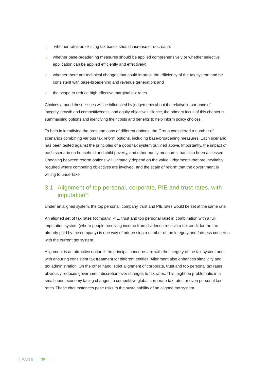- iii whether rates on existing tax bases should increase or decrease;
- iv whether base-broadening measures should be applied comprehensively or whether selective application can be applied efficiently and effectively;
- whether there are technical changes that could improve the efficiency of the tax system and be consistent with base-broadening and revenue generation; and
- $vi$  the scope to reduce high effective marginal tax rates.

Choices around these issues will be influenced by judgements about the relative importance of integrity, growth and competitiveness, and equity objectives. Hence, the primary focus of this chapter is summarising options and identifying their costs and benefits to help inform policy choices.

To help in identifying the pros and cons of different options, the Group considered a number of scenarios combining various tax reform options, including base-broadening measures. Each scenario has been tested against the principles of a good tax system outlined above. Importantly, the impact of each scenario on household and child poverty, and other equity measures, has also been assessed. Choosing between reform options will ultimately depend on the value judgements that are inevitably required where competing objectives are involved, and the scale of reform that the government is willing to undertake.

# 3.1 Alignment of top personal, corporate, PIE and trust rates, with  $imputation<sup>35</sup>$

Under an aligned system, the top personal, company, trust and PIE rates would be set at the same rate.

An aligned set of tax rates (company, PIE, trust and top personal rate) in combination with a full imputation system (where people receiving income from dividends receive a tax credit for the tax already paid by the company) is one way of addressing a number of the integrity and fairness concerns with the current tax system.

Alignment is an attractive option if the principal concerns are with the integrity of the tax system and with ensuring consistent tax treatment for different entities. Alignment also enhances simplicity and tax administration. On the other hand, strict alignment of corporate, trust and top personal tax rates obviously reduces government discretion over changes to tax rates. This might be problematic in a small open economy facing changes to competitive global corporate tax rates or even personal tax rates. These circumstances pose risks to the sustainability of an aligned tax system.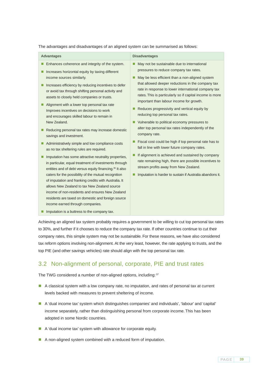The advantages and disadvantages of an aligned system can be summarised as follows:

| <b>Advantages</b>                                                                                                                                                                                                                                                                                                                                                                                                                                                                                   | <b>Disadvantages</b>                                                                                                                                                                                                                                                                                                          |
|-----------------------------------------------------------------------------------------------------------------------------------------------------------------------------------------------------------------------------------------------------------------------------------------------------------------------------------------------------------------------------------------------------------------------------------------------------------------------------------------------------|-------------------------------------------------------------------------------------------------------------------------------------------------------------------------------------------------------------------------------------------------------------------------------------------------------------------------------|
| Enhances coherence and integrity of the system.<br>Increases horizontal equity by taxing different                                                                                                                                                                                                                                                                                                                                                                                                  | May not be sustainable due to international<br>pressures to reduce company tax rates.                                                                                                                                                                                                                                         |
| income sources similarly.<br>Increases efficiency by reducing incentives to defer<br>or avoid tax through shifting personal activity and<br>assets to closely held companies or trusts.<br>Alignment with a lower top personal tax rate<br>Improves incentives on decisions to work<br>and encourages skilled labour to remain in<br>New Zealand.<br>Reducing personal tax rates may increase domestic<br>savings and investment.                                                                   | May be less efficient than a non-aligned system<br>П<br>that allowed deeper reductions in the company tax<br>rate in response to lower international company tax<br>rates. This is particularly so if capital income is more<br>important than labour income for growth.<br>Reduces progressivity and vertical equity by<br>■ |
|                                                                                                                                                                                                                                                                                                                                                                                                                                                                                                     | reducing top personal tax rates.<br>■ Vulnerable to political economy pressures to<br>alter top personal tax rates independently of the<br>company rate.                                                                                                                                                                      |
| Administratively simple and low compliance costs<br>as no tax sheltering rules are required.                                                                                                                                                                                                                                                                                                                                                                                                        | Fiscal cost could be high if top personal rate has to<br>fall in line with lower future company rates.                                                                                                                                                                                                                        |
| Imputation has some attractive neutrality properties,<br>in particular, equal treatment of investments through<br>entities and of debt versus equity financing. <sup>36</sup> It also<br>caters for the possibility of the mutual recognition<br>of imputation and franking credits with Australia. It<br>allows New Zealand to tax New Zealand source<br>income of non-residents and ensures New Zealand<br>residents are taxed on domestic and foreign source<br>income earned through companies. | If alignment is achieved and sustained by company<br>rate remaining high, there are possible incentives to<br>stream profits away from New Zealand.<br>Imputation is harder to sustain if Australia abandons it.                                                                                                              |
| Imputation is a buttress to the company tax.                                                                                                                                                                                                                                                                                                                                                                                                                                                        |                                                                                                                                                                                                                                                                                                                               |

Achieving an aligned tax system probably requires a government to be willing to cut top personal tax rates to 30%, and further if it chooses to reduce the company tax rate. If other countries continue to cut their company rates, this simple system may not be sustainable. For these reasons, we have also considered tax reform options involving non-alignment. At the very least, however, the rate applying to trusts, and the top PIE (and other savings vehicles) rate should align with the top personal tax rate.

# 3.2 Non-alignment of personal, corporate, PIE and trust rates

The TWG considered a number of non-aligned options, including: 37

- A classical system with a low company rate, no imputation, and rates of personal tax at current levels backed with measures to prevent sheltering of income.
- A 'dual income tax' system which distinguishes companies' and individuals', 'labour' and 'capital' income separately, rather than distinguishing personal from corporate income. This has been adopted in some Nordic countries.
- A 'dual income tax' system with allowance for corporate equity.
- A non-aligned system combined with a reduced form of imputation.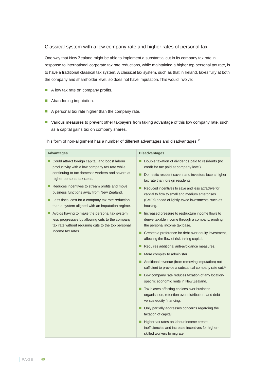## Classical system with a low company rate and higher rates of personal tax

One way that New Zealand might be able to implement a substantial cut in its company tax rate in response to international corporate tax rate reductions, while maintaining a higher top personal tax rate, is to have a traditional classical tax system. A classical tax system, such as that in Ireland, taxes fully at both the company and shareholder level, so does not have imputation. This would involve:

- $\blacksquare$  A low tax rate on company profits.
- Abandoning imputation.
- A personal tax rate higher than the company rate.
- Various measures to prevent other taxpayers from taking advantage of this low company rate, such as a capital gains tax on company shares.

This form of non-alignment has a number of different advantages and disadvantages: 38

| <b>Advantages</b>                                                                                                                                                                                                                                                                                                                                                                                         | <b>Disadvantages</b>                                                                                                                                                                                                                                                                                                                                                                                                                                                                                                                                                                                                                                                                                                                                                                                                                                                                                                                                |
|-----------------------------------------------------------------------------------------------------------------------------------------------------------------------------------------------------------------------------------------------------------------------------------------------------------------------------------------------------------------------------------------------------------|-----------------------------------------------------------------------------------------------------------------------------------------------------------------------------------------------------------------------------------------------------------------------------------------------------------------------------------------------------------------------------------------------------------------------------------------------------------------------------------------------------------------------------------------------------------------------------------------------------------------------------------------------------------------------------------------------------------------------------------------------------------------------------------------------------------------------------------------------------------------------------------------------------------------------------------------------------|
| Could attract foreign capital, and boost labour<br>П<br>productivity with a low company tax rate while<br>continuing to tax domestic workers and savers at<br>higher personal tax rates.<br>Reduces incentives to stream profits and move<br>ш<br>business functions away from New Zealand.<br>Less fiscal cost for a company tax rate reduction<br>ш<br>than a system aligned with an imputation regime. | Double taxation of dividends paid to residents (no<br>П<br>credit for tax paid at company level).<br>Domestic resident savers and investors face a higher<br>□<br>tax rate than foreign residents.<br>Reduced incentives to save and less attractive for<br>П<br>capital to flow to small and medium enterprises<br>(SMEs) ahead of lightly-taxed investments, such as<br>housing.                                                                                                                                                                                                                                                                                                                                                                                                                                                                                                                                                                  |
| Avoids having to make the personal tax system<br>less progressive by allowing cuts to the company<br>tax rate without requiring cuts to the top personal<br>income tax rates.                                                                                                                                                                                                                             | Increased pressure to restructure income flows to<br>■<br>derive taxable income through a company, eroding<br>the personal income tax base.<br>Creates a preference for debt over equity investment,<br>⊔<br>affecting the flow of risk-taking capital.<br>Requires additional anti-avoidance measures.<br>ш<br>More complex to administer.<br>∟<br>Additional revenue (from removing imputation) not<br>ш<br>sufficient to provide a substantial company rate cut. <sup>39</sup><br>Low company rate reduces taxation of any location-<br>ш<br>specific economic rents in New Zealand.<br>Tax biases affecting choices over business<br>■<br>organisation, retention over distribution, and debt<br>versus equity financing.<br>Only partially addresses concerns regarding the<br>⊔<br>taxation of capital.<br>Higher tax rates on labour income create<br>□<br>inefficiencies and increase incentives for higher-<br>skilled workers to migrate. |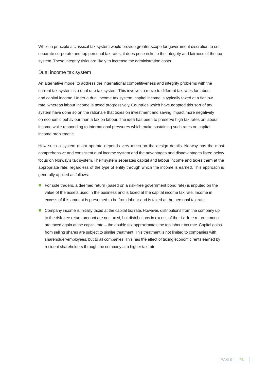While in principle a classical tax system would provide greater scope for government discretion to set separate corporate and top personal tax rates, it does pose risks to the integrity and fairness of the tax system. These integrity risks are likely to increase tax administration costs.

### Dual income tax system

An alternative model to address the international competitiveness and integrity problems with the current tax system is a dual rate tax system. This involves a move to different tax rates for labour and capital income. Under a dual income tax system, capital income is typically taxed at a flat low rate, whereas labour income is taxed progressively. Countries which have adopted this sort of tax system have done so on the rationale that taxes on investment and saving impact more negatively on economic behaviour than a tax on labour. The idea has been to preserve high tax rates on labour income while responding to international pressures which make sustaining such rates on capital income problematic.

How such a system might operate depends very much on the design details. Norway has the most comprehensive and consistent dual income system and the advantages and disadvantages listed below focus on Norway's tax system. Their system separates capital and labour income and taxes them at the appropriate rate, regardless of the type of entity through which the income is earned. This approach is generally applied as follows:

- **For sole traders, a deemed return (based on a risk-free government bond rate) is imputed on the** value of the assets used in the business and is taxed at the capital income tax rate. Income in excess of this amount is presumed to be from labour and is taxed at the personal tax rate.
- Company income is initially taxed at the capital tax rate. However, distributions from the company up to the risk-free return amount are not taxed, but distributions in excess of the risk-free return amount are taxed again at the capital rate – the double tax approximates the top labour tax rate. Capital gains from selling shares are subject to similar treatment. This treatment is not limited to companies with shareholder-employees, but to all companies. This has the effect of taxing economic rents earned by resident shareholders through the company at a higher tax rate.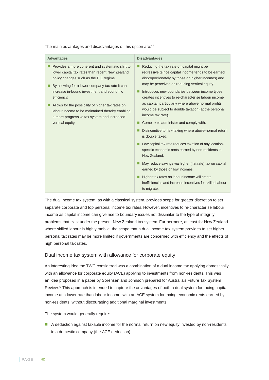The main advantages and disadvantages of this option are:<sup>40</sup>

| <b>Advantages</b>                                                                                                                                                                                                                                                                                                                                                                                                                       | <b>Disadvantages</b>                                                                                                                                                                                                                                                                                                                                                                                                                                                                                                                                                                                                                                                                                                                                                                                                                                                                                                                     |
|-----------------------------------------------------------------------------------------------------------------------------------------------------------------------------------------------------------------------------------------------------------------------------------------------------------------------------------------------------------------------------------------------------------------------------------------|------------------------------------------------------------------------------------------------------------------------------------------------------------------------------------------------------------------------------------------------------------------------------------------------------------------------------------------------------------------------------------------------------------------------------------------------------------------------------------------------------------------------------------------------------------------------------------------------------------------------------------------------------------------------------------------------------------------------------------------------------------------------------------------------------------------------------------------------------------------------------------------------------------------------------------------|
| Provides a more coherent and systematic shift to<br>lower capital tax rates than recent New Zealand<br>policy changes such as the PIE regime.<br>By allowing for a lower company tax rate it can<br>increase in-bound investment and economic<br>efficiency.<br>Allows for the possibility of higher tax rates on<br>labour income to be maintained thereby enabling<br>a more progressive tax system and increased<br>vertical equity. | Reducing the tax rate on capital might be<br>regressive (since capital income tends to be earned<br>disproportionately by those on higher incomes) and<br>may be perceived as reducing vertical equity.<br>Introduces new boundaries between income types;<br>creates incentives to re-characterise labour income<br>as capital, particularly where above normal profits<br>would be subject to double taxation (at the personal<br>income tax rate).<br>Complex to administer and comply with.<br>Disincentive to risk-taking where above-normal return<br>is double taxed.<br>Low capital tax rate reduces taxation of any location-<br>specific economic rents earned by non-residents in<br>New Zealand.<br>May reduce savings via higher (flat rate) tax on capital<br>earned by those on low incomes.<br>Higher tax rates on labour income will create<br>inefficiencies and increase incentives for skilled labour<br>to migrate. |

The dual income tax system, as with a classical system, provides scope for greater discretion to set separate corporate and top personal income tax rates. However, incentives to re-characterise labour income as capital income can give rise to boundary issues not dissimilar to the type of integrity problems that exist under the present New Zealand tax system. Furthermore, at least for New Zealand where skilled labour is highly mobile, the scope that a dual income tax system provides to set higher personal tax rates may be more limited if governments are concerned with efficiency and the effects of high personal tax rates.

## Dual income tax system with allowance for corporate equity

An interesting idea the TWG considered was a combination of a dual income tax applying domestically with an allowance for corporate equity (ACE) applying to investments from non-residents. This was an idea proposed in a paper by Sorensen and Johnson prepared for Australia's Future Tax System Review.41 This approach is intended to capture the advantages of both a dual system for taxing capital income at a lower rate than labour income, with an ACE system for taxing economic rents earned by non-residents, without discouraging additional marginal investments.

The system would generally require:

 $\blacksquare$  A deduction against taxable income for the normal return on new equity invested by non-residents in a domestic company (the ACE deduction).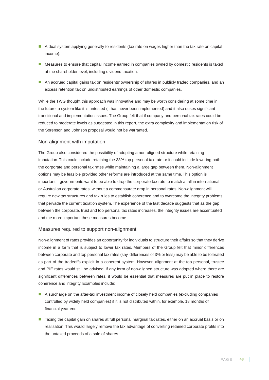- A dual system applying generally to residents (tax rate on wages higher than the tax rate on capital income).
- **Measures to ensure that capital income earned in companies owned by domestic residents is taxed** at the shareholder level, including dividend taxation.
- An accrued capital gains tax on residents' ownership of shares in publicly traded companies, and an excess retention tax on undistributed earnings of other domestic companies.

While the TWG thought this approach was innovative and may be worth considering at some time in the future, a system like it is untested (it has never been implemented) and it also raises significant transitional and implementation issues. The Group felt that if company and personal tax rates could be reduced to moderate levels as suggested in this report, the extra complexity and implementation risk of the Sorenson and Johnson proposal would not be warranted.

#### Non-alignment with imputation

The Group also considered the possibility of adopting a non-aligned structure while retaining imputation. This could include retaining the 38% top personal tax rate or it could include lowering both the corporate and personal tax rates while maintaining a large gap between them. Non-alignment options may be feasible provided other reforms are introduced at the same time. This option is important if governments want to be able to drop the corporate tax rate to match a fall in international or Australian corporate rates, without a commensurate drop in personal rates. Non-alignment will require new tax structures and tax rules to establish coherence and to overcome the integrity problems that pervade the current taxation system. The experience of the last decade suggests that as the gap between the corporate, trust and top personal tax rates increases, the integrity issues are accentuated and the more important these measures become.

#### Measures required to support non-alignment

Non-alignment of rates provides an opportunity for individuals to structure their affairs so that they derive income in a form that is subject to lower tax rates. Members of the Group felt that minor differences between corporate and top personal tax rates (say, differences of 3% or less) may be able to be tolerated as part of the tradeoffs explicit in a coherent system. However, alignment at the top personal, trustee and PIE rates would still be advised. If any form of non-aligned structure was adopted where there are significant differences between rates, it would be essential that measures are put in place to restore coherence and integrity. Examples include:

- A surcharge on the after-tax investment income of closely held companies (excluding companies controlled by widely held companies) if it is not distributed within, for example, 18 months of financial year end.
- Taxing the capital gain on shares at full personal marginal tax rates, either on an accrual basis or on realisation. This would largely remove the tax advantage of converting retained corporate profits into the untaxed proceeds of a sale of shares.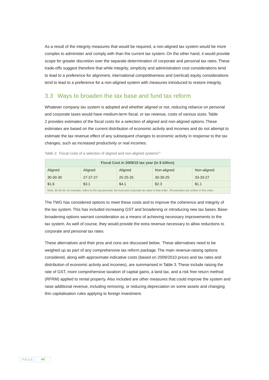As a result of the integrity measures that would be required, a non-aligned tax system would be more complex to administer and comply with than the current tax system. On the other hand, it would provide scope for greater discretion over the separate determination of corporate and personal tax rates. These trade-offs suggest therefore that while integrity, simplicity and administration cost considerations tend to lead to a preference for alignment, international competitiveness and (vertical) equity considerations tend to lead to a preference for a non-aligned system with measures introduced to restore integrity.

## 3.3 Ways to broaden the tax base and fund tax reform

Whatever company tax system is adopted and whether aligned or not, reducing reliance on personal and corporate taxes would have medium-term fiscal, or tax revenue, costs of various sizes. Table 2 provides estimates of the fiscal costs for a selection of aligned and non-aligned options. These estimates are based on the current distribution of economic activity and incomes and do not attempt to estimate the tax revenue effect of any subsequent changes to economic activity in response to the tax changes, such as increased productivity or real incomes.

| Fiscal Cost in 2009/10 tax year (in \$ billion)                                                                                                   |                |                |             |             |  |
|---------------------------------------------------------------------------------------------------------------------------------------------------|----------------|----------------|-------------|-------------|--|
| Aligned                                                                                                                                           | Aligned        | Aligned        | Non-aligned | Non-aligned |  |
| $30 - 30 - 30$                                                                                                                                    | $27 - 27 - 27$ | $25 - 25 - 25$ | $30-30-25$  | 33-33-27    |  |
| \$1.6                                                                                                                                             | \$3.1          | \$4.1          | \$2.3       | \$1.1       |  |
| Note: 30-30-30, for example, refers to the top personal, the trust and corporate tax rates in that order. All examples are written in this order. |                |                |             |             |  |

Table 2: Fiscal costs of a selection of aligned and non-aligned systems<sup>42</sup>

The TWG has considered options to meet these costs and to improve the coherence and integrity of the tax system. This has included increasing GST and broadening or introducing new tax bases. Basebroadening options warrant consideration as a means of achieving necessary improvements to the tax system. As well of course, they would provide the extra revenue necessary to allow reductions to corporate and personal tax rates.

These alternatives and their pros and cons are discussed below. These alternatives need to be weighed up as part of any comprehensive tax reform package. The main revenue-raising options considered, along with approximate indicative costs (based on 2009/2010 prices and tax rates and distribution of economic activity and incomes), are summarised in Table 3. These include raising the rate of GST, more comprehensive taxation of capital gains, a land tax, and a risk free return method (RFRM) applied to rental property. Also included are other measures that could improve the system and raise additional revenue, including removing, or reducing depreciation on some assets and changing thin capitalisation rules applying to foreign investment.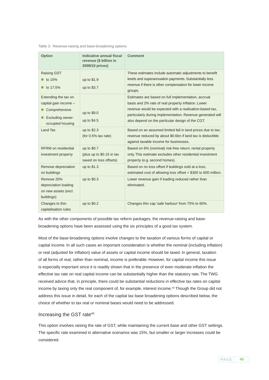| <b>Option</b>                                                                                          | Indicative annual fiscal<br>revenue (\$ billion in<br>2009/10 prices) | Comment                                                                                                                                                                                                                                                                                 |
|--------------------------------------------------------------------------------------------------------|-----------------------------------------------------------------------|-----------------------------------------------------------------------------------------------------------------------------------------------------------------------------------------------------------------------------------------------------------------------------------------|
| <b>Raising GST</b><br>to 15%<br>to 17.5%                                                               | up to \$1.9<br>up to \$3.7                                            | These estimates include automatic adjustments to benefit<br>levels and superannuation payments. Substantially less<br>revenue if there is other compensation for lower income<br>groups.                                                                                                |
| Extending the tax on<br>capital gain income -<br>Comprehensive<br>Excluding owner-<br>occupied housing | up to \$9.0<br>up to \$4.5                                            | Estimates are based on full implementation, accrual<br>basis and 2% rate of real property inflation. Lower<br>revenue would be expected with a realisation-based tax,<br>particularly during implementation. Revenue generated will<br>also depend on the particular design of the CGT. |
| Land Tax                                                                                               | up to $$2.3$<br>(for $0.5\%$ tax rate)                                | Based on an assumed limited fall in land prices due to tax;<br>revenue reduced by about \$0.6bn if land tax is deductible<br>against taxable income for businesses.                                                                                                                     |
| <b>RFRM</b> on residential<br>investment property                                                      | up to $$0.7$<br>(plus up to \$0.15 in tax<br>saved on loss offsets)   | Based on 6% (nominal) risk-free return; rental property<br>only. This estimate excludes other residential investment<br>property (e.g. second homes).                                                                                                                                   |
| Remove depreciation<br>on buildings                                                                    | up to $$1.3$                                                          | Based on no loss offset if buildings sold at a loss;<br>estimated cost of allowing loss offset = $$300$ to 600 million.                                                                                                                                                                 |
| Remove 20%<br>depreciation loading<br>on new assets (excl.<br>buildings)                               | up to \$0.3                                                           | Lower revenue gain if loading reduced rather than<br>eliminated.                                                                                                                                                                                                                        |
| Changes to thin<br>capitalisation rules                                                                | up to \$0.2                                                           | Changes thin cap 'safe harbour' from 75% to 60%.                                                                                                                                                                                                                                        |

Table 3: Revenue-raising and base-broadening options

As with the other components of possible tax reform packages, the revenue-raising and basebroadening options have been assessed using the six principles of a good tax system.

Most of the base-broadening options involve changes to the taxation of various forms of capital or capital income. In all such cases an important consideration is whether the nominal (including inflation) or real (adjusted for inflation) value of assets or capital income should be taxed. In general, taxation of all forms of *real*, rather than nominal, income is preferable. However, for capital income this issue is especially important since it is readily shown that in the presence of even moderate inflation the effective tax rate on real capital income can be substantially higher than the statutory rate. The TWG received advice that, in principle, there could be substantial reductions in effective tax rates on capital income by taxing only the real component of, for example, interest income.<sup>43</sup> Though the Group did not address this issue in detail, for each of the capital tax base broadening options described below, the choice of whether to tax real or nominal bases would need to be addressed.

## Increasing the GST rate<sup>44</sup>

This option involves raising the rate of GST, while maintaining the current base and other GST settings. The specific rate examined in alternative scenarios was 15%, but smaller or larger increases could be considered.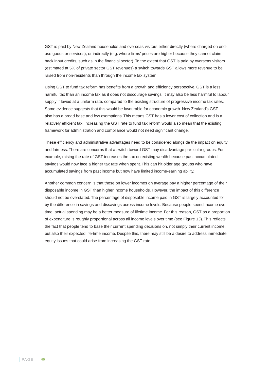GST is paid by New Zealand households and overseas visitors either directly (where charged on enduse goods or services), or indirectly (e.g. where firms' prices are higher because they cannot claim back input credits, such as in the financial sector). To the extent that GST is paid by overseas visitors (estimated at 5% of private sector GST revenues) a switch towards GST allows more revenue to be raised from non-residents than through the income tax system.

Using GST to fund tax reform has benefits from a growth and efficiency perspective. GST is a less harmful tax than an income tax as it does not discourage savings. It may also be less harmful to labour supply if levied at a uniform rate, compared to the existing structure of progressive income tax rates. Some evidence suggests that this would be favourable for economic growth. New Zealand's GST also has a broad base and few exemptions. This means GST has a lower cost of collection and is a relatively efficient tax. Increasing the GST rate to fund tax reform would also mean that the existing framework for administration and compliance would not need significant change.

These efficiency and administrative advantages need to be considered alongside the impact on equity and fairness. There are concerns that a switch toward GST may disadvantage particular groups. For example, raising the rate of GST increases the tax on existing wealth because past accumulated savings would now face a higher tax rate when spent. This can hit older age groups who have accumulated savings from past income but now have limited income-earning ability.

Another common concern is that those on lower incomes on average pay a higher percentage of their disposable income in GST than higher income households. However, the impact of this difference should not be overstated. The percentage of disposable income paid in GST is largely accounted for by the difference in savings and dissavings across income levels. Because people spend income over time, actual spending may be a better measure of lifetime income. For this reason, GST as a proportion of expenditure is roughly proportional across all income levels over time (see Figure 13). This reflects the fact that people tend to base their current spending decisions on, not simply their current income, but also their expected life-time income. Despite this, there may still be a desire to address immediate equity issues that could arise from increasing the GST rate.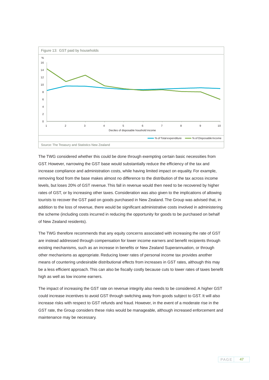

The TWG considered whether this could be done through exempting certain basic necessities from GST. However, narrowing the GST base would substantially reduce the efficiency of the tax and increase compliance and administration costs, while having limited impact on equality. For example, removing food from the base makes almost no difference to the distribution of the tax across income levels, but loses 20% of GST revenue. This fall in revenue would then need to be recovered by higher rates of GST, or by increasing other taxes. Consideration was also given to the implications of allowing tourists to recover the GST paid on goods purchased in New Zealand. The Group was advised that, in addition to the loss of revenue, there would be significant administrative costs involved in administering the scheme (including costs incurred in reducing the opportunity for goods to be purchased on behalf of New Zealand residents).

The TWG therefore recommends that any equity concerns associated with increasing the rate of GST are instead addressed through compensation for lower income earners and benefit recipients through existing mechanisms, such as an increase in benefits or New Zealand Superannuation, or through other mechanisms as appropriate. Reducing lower rates of personal income tax provides another means of countering undesirable distributional effects from increases in GST rates, although this may be a less efficient approach. This can also be fiscally costly because cuts to lower rates of taxes benefit high as well as low income earners.

The impact of increasing the GST rate on revenue integrity also needs to be considered. A higher GST could increase incentives to avoid GST through switching away from goods subject to GST. It will also increase risks with respect to GST refunds and fraud. However, in the event of a moderate rise in the GST rate, the Group considers these risks would be manageable, although increased enforcement and maintenance may be necessary.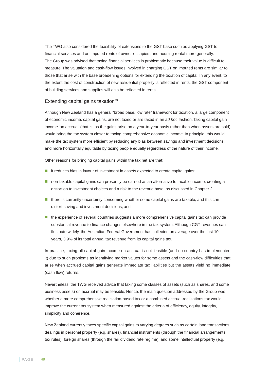The TWG also considered the feasibility of extensions to the GST base such as applying GST to financial services and on imputed rents of owner-occupiers and housing rental more generally. The Group was advised that taxing financial services is problematic because their value is difficult to measure. The valuation and cash-flow issues involved in charging GST on imputed rents are similar to those that arise with the base broadening options for extending the taxation of capital. In any event, to the extent the cost of construction of new residential property is reflected in rents, the GST component of building services and supplies will also be reflected in rents.

### Extending capital gains taxation<sup>45</sup>

Although New Zealand has a general "broad base, low rate" framework for taxation, a large component of economic income, capital gains, are not taxed or are taxed in an *ad hoc* fashion. Taxing capital gain income 'on accrual' (that is, as the gains arise on a year-to-year basis rather than when assets are sold) would bring the tax system closer to taxing comprehensive economic income. In principle, this would make the tax system more efficient by reducing any bias between savings and investment decisions, and more horizontally equitable by taxing people equally regardless of the nature of their income.

Other reasons for bringing capital gains within the tax net are that:

- $\blacksquare$  it reduces bias in favour of investment in assets expected to create capital gains;
- non-taxable capital gains can presently be earned as an alternative to taxable income, creating a distortion to investment choices and a risk to the revenue base, as discussed in Chapter 2;
- $\blacksquare$  there is currently uncertainty concerning whether some capital gains are taxable, and this can distort saving and investment decisions; and
- **the experience of several countries suggests a more comprehensive capital gains tax can provide** substantial revenue to finance changes elsewhere in the tax system. Although CGT revenues can fluctuate widely, the Australian Federal Government has collected on average over the last 10 years, 3.9% of its total annual tax revenue from its capital gains tax.

In practice, taxing all capital gain income on accrual is not feasible (and no country has implemented it) due to such problems as identifying market values for some assets and the cash-flow difficulties that arise when accrued capital gains generate immediate tax liabilities but the assets yield no immediate (cash flow) returns.

Nevertheless, the TWG received advice that taxing some classes of assets (such as shares, and some business assets) on accrual may be feasible. Hence, the main question addressed by the Group was whether a more comprehensive realisation-based tax or a combined accrual-realisations tax would improve the current tax system when measured against the criteria of efficiency, equity, integrity, simplicity and coherence.

New Zealand currently taxes specific capital gains to varying degrees such as certain land transactions, dealings in personal property (e.g. shares), financial instruments (through the financial arrangements tax rules), foreign shares (through the fair dividend rate regime), and some intellectual property (e.g.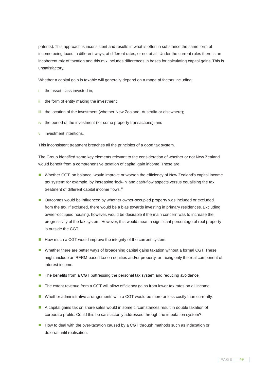patents). This approach is inconsistent and results in what is often in substance the same form of income being taxed in different ways, at different rates, or not at all. Under the current rules there is an incoherent mix of taxation and this mix includes differences in bases for calculating capital gains. This is unsatisfactory.

Whether a capital gain is taxable will generally depend on a range of factors including:

- the asset class invested in;
- ii the form of entity making the investment;
- iii the location of the investment (whether New Zealand, Australia or elsewhere);
- $iv$  the period of the investment (for some property transactions); and
- investment intentions.

This inconsistent treatment breaches all the principles of a good tax system.

The Group identified some key elements relevant to the consideration of whether or not New Zealand would benefit from a comprehensive taxation of capital gain income. These are:

- Mhether CGT, on balance, would improve or worsen the efficiency of New Zealand's capital income tax system; for example, by increasing 'lock-in' and cash-flow aspects versus equalising the tax treatment of different capital income flows.<sup>46</sup>
- **Outcomes would be influenced by whether owner-occupied property was included or excluded** from the tax. If excluded, there would be a bias towards investing in primary residences. Excluding owner-occupied housing, however, would be desirable if the main concern was to increase the progressivity of the tax system. However, this would mean a significant percentage of real property is outside the CGT.
- How much a CGT would improve the integrity of the current system.
- Whether there are better ways of broadening capital gains taxation without a formal CGT. These might include an RFRM-based tax on equities and/or property, or taxing only the real component of interest income.
- $\blacksquare$  The benefits from a CGT buttressing the personal tax system and reducing avoidance.
- The extent revenue from a CGT will allow efficiency gains from lower tax rates on all income.
- **Number 4** Whether administrative arrangements with a CGT would be more or less costly than currently.
- A capital gains tax on share sales would in some circumstances result in double taxation of corporate profits. Could this be satisfactorily addressed through the imputation system?
- $\blacksquare$  How to deal with the over-taxation caused by a CGT through methods such as indexation or deferral until realisation.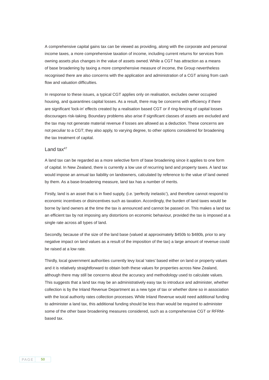A comprehensive capital gains tax can be viewed as providing, along with the corporate and personal income taxes, a more comprehensive taxation of income, including current returns for services from owning assets plus changes in the value of assets owned. While a CGT has attraction as a means of base broadening by taxing a more comprehensive measure of income, the Group nevertheless recognised there are also concerns with the application and administration of a CGT arising from cash flow and valuation difficulties.

In response to these issues, a typical CGT applies only on realisation, excludes owner occupied housing, and quarantines capital losses. As a result, there may be concerns with efficiency if there are significant 'lock-in' effects created by a realisation based CGT or if ring-fencing of capital losses discourages risk-taking. Boundary problems also arise if significant classes of assets are excluded and the tax may not generate material revenue if losses are allowed as a deduction. These concerns are not peculiar to a CGT; they also apply, to varying degree, to other options considered for broadening the tax treatment of capital.

#### Land ta $x^{47}$

A land tax can be regarded as a more selective form of base broadening since it applies to one form of capital. In New Zealand, there is currently a low use of recurring land and property taxes. A land tax would impose an annual tax liability on landowners, calculated by reference to the value of land owned by them. As a base-broadening measure, land tax has a number of merits.

Firstly, land is an asset that is in fixed supply, (i.e. 'perfectly inelastic'), and therefore cannot respond to economic incentives or disincentives such as taxation. Accordingly, the burden of land taxes would be borne by land owners at the time the tax is announced and cannot be passed on. This makes a land tax an efficient tax by not imposing any distortions on economic behaviour, provided the tax is imposed at a single rate across all types of land.

Secondly, because of the size of the land base (valued at approximately \$450b to \$480b, prior to any negative impact on land values as a result of the imposition of the tax) a large amount of revenue could be raised at a low rate.

Thirdly, local government authorities currently levy local 'rates' based either on land or property values and it is relatively straightforward to obtain both these values for properties across New Zealand, although there may still be concerns about the accuracy and methodology used to calculate values. This suggests that a land tax may be an administratively easy tax to introduce and administer, whether collection is by the Inland Revenue Department as a new type of tax or whether done so in association with the local authority rates collection processes. While Inland Revenue would need additional funding to administer a land tax, this additional funding should be less than would be required to administer some of the other base broadening measures considered, such as a comprehensive CGT or RFRMbased tax.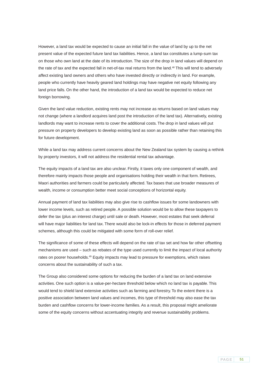However, a land tax would be expected to cause an initial fall in the value of land by up to the net present value of the expected future land tax liabilities. Hence, a land tax constitutes a lump-sum tax on those who own land at the date of its introduction. The size of the drop in land values will depend on the rate of tax and the expected fall in net-of-tax real returns from the land.<sup>48</sup> This will tend to adversely affect existing land owners and others who have invested directly or indirectly in land. For example, people who currently have heavily geared land holdings may have negative net equity following any land price falls. On the other hand, the introduction of a land tax would be expected to reduce net foreign borrowing.

Given the land value reduction, existing rents may not increase as returns based on land values may not change (where a landlord acquires land post the introduction of the land tax). Alternatively, existing landlords may want to increase rents to cover the additional costs. The drop in land values will put pressure on property developers to develop existing land as soon as possible rather than retaining this for future development.

While a land tax may address current concerns about the New Zealand tax system by causing a rethink by property investors, it will not address the residential rental tax advantage.

The equity impacts of a land tax are also unclear. Firstly, it taxes only one component of wealth, and therefore mainly impacts those people and organisations holding their wealth in that form. Retirees, Maori authorities and farmers could be particularly affected. Tax bases that use broader measures of wealth, income or consumption better meet social conceptions of horizontal equity.

Annual payment of land tax liabilities may also give rise to cashflow issues for some landowners with lower income levels, such as retired people. A possible solution would be to allow these taxpayers to defer the tax (plus an interest charge) until sale or death. However, most estates that seek deferral will have major liabilities for land tax. There would also be lock-in effects for those in deferred payment schemes, although this could be mitigated with some form of roll-over relief.

The significance of some of these effects will depend on the rate of tax set and how far other offsetting mechanisms are used – such as rebates of the type used currently to limit the impact of local authority rates on poorer households.<sup>49</sup> Equity impacts may lead to pressure for exemptions, which raises concerns about the sustainability of such a tax.

The Group also considered some options for reducing the burden of a land tax on land extensive activities. One such option is a value-per-hectare threshold below which no land tax is payable. This would tend to shield land extensive activities such as farming and forestry. To the extent there is a positive association between land values and incomes, this type of threshold may also ease the tax burden and cashflow concerns for lower-income families. As a result, this proposal might ameliorate some of the equity concerns without accentuating integrity and revenue sustainability problems.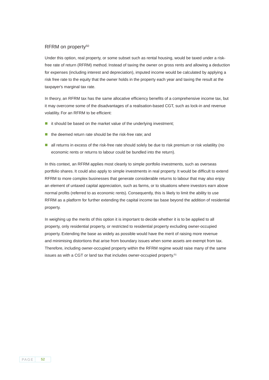## RFRM on property<sup>50</sup>

Under this option, real property, or some subset such as rental housing, would be taxed under a riskfree rate of return (RFRM) method. Instead of taxing the owner on gross rents and allowing a deduction for expenses (including interest and depreciation), imputed income would be calculated by applying a risk free rate to the equity that the owner holds in the property each year and taxing the result at the taxpayer's marginal tax rate.

In theory, an RFRM tax has the same allocative efficiency benefits of a comprehensive income tax, but it may overcome some of the disadvantages of a realisation-based CGT, such as lock-in and revenue volatility. For an RFRM to be efficient:

- $\blacksquare$  it should be based on the market value of the underlying investment;
- the deemed return rate should be the risk-free rate; and
- all returns in excess of the risk-free rate should solely be due to risk premium or risk volatility (no economic rents or returns to labour could be bundled into the return).

In this context, an RFRM applies most cleanly to simple portfolio investments, such as overseas portfolio shares. It could also apply to simple investments in real property. It would be difficult to extend RFRM to more complex businesses that generate considerable returns to labour that may also enjoy an element of untaxed capital appreciation, such as farms, or to situations where investors earn above normal profits (referred to as economic rents). Consequently, this is likely to limit the ability to use RFRM as a platform for further extending the capital income tax base beyond the addition of residential property.

In weighing up the merits of this option it is important to decide whether it is to be applied to all property, only residential property, or restricted to residential property excluding owner-occupied property. Extending the base as widely as possible would have the merit of raising more revenue and minimising distortions that arise from boundary issues when some assets are exempt from tax. Therefore, including owner-occupied property within the RFRM regime would raise many of the same issues as with a CGT or land tax that includes owner-occupied property.<sup>51</sup>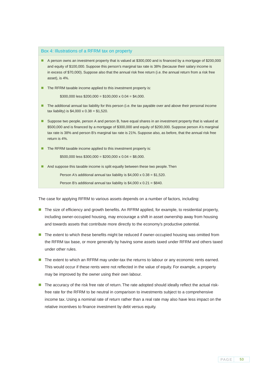#### Box 4: Illustrations of a RFRM tax on property

- A person owns an investment property that is valued at \$300,000 and is financed by a mortgage of \$200,000 and equity of \$100,000. Suppose this person's marginal tax rate is 38% (because their salary income is in excess of \$70,000). Suppose also that the annual risk free return (i.e. the annual return from a risk free asset), is 4%.
- The RFRM taxable income applied to this investment property is:

 $$300,000$  less  $$200,000 = $100,000 \times 0.04 = $4,000$ .

- The additional annual tax liability for this person (i.e. the tax payable over and above their personal income tax liability) is  $$4,000 \times 0.38 = $1,520$ .
- Suppose two people, person A and person B, have equal shares in an investment property that is valued at \$500,000 and is financed by a mortgage of \$300,000 and equity of \$200,000. Suppose person A's marginal tax rate is 38% and person B's marginal tax rate is 21%. Suppose also, as before, that the annual risk free return is 4%.
- The RFRM taxable income applied to this investment property is:

 $$500,000$  less  $$300,000 = $200,000 \times 0.04 = $8,000$ .

And suppose this taxable income is split equally between these two people. Then

Person A's additional annual tax liability is  $$4,000 \times 0.38 = $1,520$ .

Person B's additional annual tax liability is  $$4,000 \times 0.21 = $840$ .

The case for applying RFRM to various assets depends on a number of factors, including:

- The size of efficiency and growth benefits. An RFRM applied, for example, to residential property, including owner-occupied housing, may encourage a shift in asset ownership away from housing and towards assets that contribute more directly to the economy's productive potential.
- The extent to which these benefits might be reduced if owner-occupied housing was omitted from the RFRM tax base, or more generally by having some assets taxed under RFRM and others taxed under other rules.
- $\blacksquare$  The extent to which an RFRM may under-tax the returns to labour or any economic rents earned. This would occur if these rents were not reflected in the value of equity. For example, a property may be improved by the owner using their own labour.
- $\blacksquare$  The accuracy of the risk free rate of return. The rate adopted should ideally reflect the actual riskfree rate for the RFRM to be neutral in comparison to investments subject to a comprehensive income tax. Using a nominal rate of return rather than a real rate may also have less impact on the relative incentives to finance investment by debt versus equity.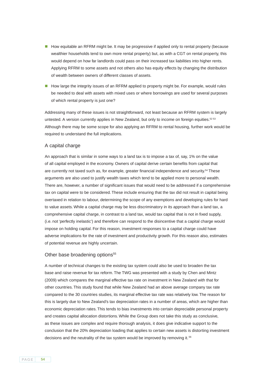- How equitable an RFRM might be. It may be progressive if applied only to rental property (because wealthier households tend to own more rental property) but, as with a CGT on rental property, this would depend on how far landlords could pass on their increased tax liabilities into higher rents. Applying RFRM to some assets and not others also has equity effects by changing the distribution of wealth between owners of different classes of assets.
- How large the integrity issues of an RFRM applied to property might be. For example, would rules be needed to deal with assets with mixed uses or where borrowings are used for several purposes of which rental property is just one?

Addressing many of these issues is not straightforward, not least because an RFRM system is largely untested. A version currently applies in New Zealand, but only to income on foreign equities.<sup>52 53</sup> Although there may be some scope for also applying an RFRM to rental housing, further work would be required to understand the full implications.

### A capital charge

An approach that is similar in some ways to a land tax is to impose a tax of, say, 1% on the value of all capital employed in the economy. Owners of capital derive certain benefits from capital that are currently not taxed such as, for example, greater financial independence and security.<sup>54</sup> These arguments are also used to justify wealth taxes which tend to be applied more to personal wealth. There are, however, a number of significant issues that would need to be addressed if a comprehensive tax on capital were to be considered. These include ensuring that the tax did not result in capital being overtaxed in relation to labour, determining the scope of any exemptions and developing rules for hard to value assets. While a capital charge may be less discriminatory in its approach than a land tax, a comprehensive capital charge, in contrast to a land tax, would tax capital that is not in fixed supply, (i.e. not 'perfectly inelastic') and therefore can respond to the disincentive that a capital charge would impose on holding capital. For this reason, investment responses to a capital charge could have adverse implications for the rate of investment and productivity growth. For this reason also, estimates of potential revenue are highly uncertain.

## Other base broadening options<sup>55</sup>

A number of technical changes to the existing tax system could also be used to broaden the tax base and raise revenue for tax reform. The TWG was presented with a study by Chen and Mintz (2009) which compares the marginal effective tax rate on investment in New Zealand with that for other countries. This study found that while New Zealand had an above average company tax rate compared to the 30 countries studies, its marginal effective tax rate was relatively low. The reason for this is largely due to New Zealand's tax depreciation rates in a number of areas, which are higher than economic depreciation rates. This tends to bias investments into certain depreciable personal property and creates capital allocation distortions. While the Group does not take this study as conclusive, as these issues are complex and require thorough analysis, it does give indicative support to the conclusion that the 20% depreciation loading that applies to certain new assets is distorting investment decisions and the neutrality of the tax system would be improved by removing it.<sup>56</sup>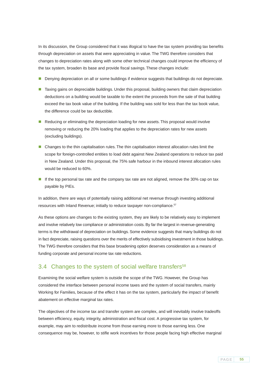In its discussion, the Group considered that it was illogical to have the tax system providing tax benefits through depreciation on assets that were appreciating in value. The TWG therefore considers that changes to depreciation rates along with some other technical changes could improve the efficiency of the tax system, broaden its base and provide fiscal savings. These changes include:

- **Denying depreciation on all or some buildings if evidence suggests that buildings do not depreciate.**
- **T** Taxing gains on depreciable buildings. Under this proposal, building owners that claim depreciation deductions on a building would be taxable to the extent the proceeds from the sale of that building exceed the tax book value of the building. If the building was sold for less than the tax book value, the difference could be tax deductible.
- Reducing or eliminating the depreciation loading for new assets. This proposal would involve removing or reducing the 20% loading that applies to the depreciation rates for new assets (excluding buildings).
- **Changes to the thin capitalisation rules. The thin capitalisation interest allocation rules limit the** scope for foreign-controlled entities to load debt against New Zealand operations to reduce tax paid in New Zealand. Under this proposal, the 75% safe harbour in the inbound interest allocation rules would be reduced to 60%.
- If the top personal tax rate and the company tax rate are not aligned, remove the 30% cap on tax payable by PIEs.

In addition, there are ways of potentially raising additional net revenue through investing additional resources with Inland Revenue; initially to reduce taxpayer non-compliance.<sup>57</sup>

As these options are changes to the existing system, they are likely to be relatively easy to implement and involve relatively low compliance or administration costs. By far the largest in revenue-generating terms is the withdrawal of depreciation on buildings. Some evidence suggests that many buildings do not in fact depreciate, raising questions over the merits of effectively subsidising investment in those buildings. The TWG therefore considers that this base broadening option deserves consideration as a means of funding corporate and personal income tax rate reductions.

# 3.4 Changes to the system of social welfare transfers<sup>58</sup>

Examining the social welfare system is outside the scope of the TWG. However, the Group has considered the interface between personal income taxes and the system of social transfers, mainly Working for Families, because of the effect it has on the tax system, particularly the impact of benefit abatement on effective marginal tax rates.

The objectives of the income tax and transfer system are complex, and will inevitably involve tradeoffs between efficiency, equity, integrity, administration and fiscal cost. A progressive tax system, for example, may aim to redistribute income from those earning more to those earning less. One consequence may be, however, to stifle work incentives for those people facing high effective marginal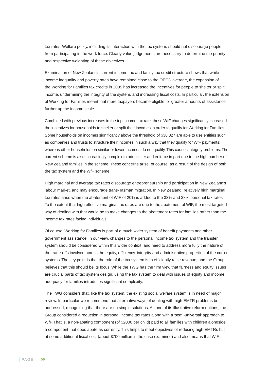tax rates. Welfare policy, including its interaction with the tax system, should not discourage people from participating in the work force. Clearly value judgements are necessary to determine the priority and respective weighting of these objectives.

Examination of New Zealand's current income tax and family tax credit structure shows that while income inequality and poverty rates have remained close to the OECD average, the expansion of the Working for Families tax credits in 2005 has increased the incentives for people to shelter or split income, undermining the integrity of the system, and increasing fiscal costs. In particular, the extension of Working for Families meant that more taxpayers became eligible for greater amounts of assistance further up the income scale.

Combined with previous increases in the top income tax rate, these WfF changes significantly increased the incentives for households to shelter or split their incomes in order to qualify for Working for Families. Some households on incomes significantly above the threshold of \$36,827 are able to use entities such as companies and trusts to structure their incomes in such a way that they qualify for WfF payments; whereas other households on similar or lower incomes do not qualify. This causes integrity problems. The current scheme is also increasingly complex to administer and enforce in part due to the high number of New Zealand families in the scheme. These concerns arise, of course, as a result of the design of both the tax system and the WfF scheme.

High marginal and average tax rates discourage entrepreneurship and participation in New Zealand's labour market, and may encourage trans-Tasman migration. In New Zealand, relatively high marginal tax rates arise when the abatement of WfF of 20% is added to the 33% and 38% personal tax rates. To the extent that high effective marginal tax rates are due to the abatement of WfF, the most targeted way of dealing with that would be to make changes to the abatement rates for families rather than the income tax rates facing individuals.

Of course, Working for Families is part of a much wider system of benefit payments and other government assistance. In our view, changes to the personal income tax system and the transfer system should be considered within this wider context, and need to address more fully the nature of the trade-offs involved across the equity, efficiency, integrity and administrative properties of the current systems. The key point is that the role of the tax system is to efficiently raise revenue, and the Group believes that this should be its focus. While the TWG has the firm view that fairness and equity issues are crucial parts of tax system design, using the tax system to deal with issues of equity and income adequacy for families introduces significant complexity.

The TWG considers that, like the tax system, the existing social welfare system is in need of major review. In particular we recommend that alternative ways of dealing with high EMTR problems be addressed, recognising that there are no simple solutions. As one of its illustrative reform options, the Group considered a reduction in personal income tax rates along with a 'semi-universal' approach to WfF. That is, a non-abating component (of \$2000 per child) paid to all families with children alongside a component that does abate as currently. This helps to meet objectives of reducing high EMTRs but at some additional fiscal cost (about \$700 million in the case examined) and also means that WfF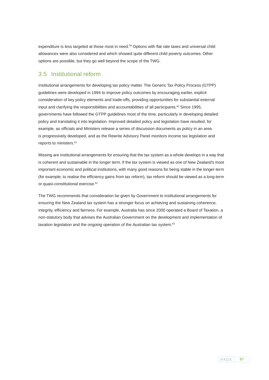expenditure is less targeted at those most in need.<sup>59</sup> Options with flat rate taxes and universal child allowances were also considered and which showed quite different child poverty outcomes. Other options are possible, but they go well beyond the scope of the TWG.

# 3.5 Institutional reform

Institutional arrangements for developing tax policy matter. The Generic Tax Policy Process (GTPP) guidelines were developed in 1994 to improve policy outcomes by encouraging earlier, explicit consideration of key policy elements and trade-offs, providing opportunities for substantial external input and clarifying the responsibilities and accountabilities of all participants.<sup>60</sup> Since 1995, governments have followed the GTPP guidelines most of the time, particularly in developing detailed policy and translating it into legislation. Improved detailed policy and legislation have resulted, for example, as officials and Ministers release a series of discussion documents as policy in an area is progressively developed, and as the Rewrite Advisory Panel monitors income tax legislation and reports to ministers.<sup>61</sup>

Missing are institutional arrangements for ensuring that the tax system as a whole develops in a way that is coherent and sustainable in the longer term. If the tax system is viewed as one of New Zealand's most important economic and political institutions, with many good reasons for being stable in the longer-term (for example, to realise the efficiency gains from tax reform), tax reform should be viewed as a long-term or quasi-constitutional exercise.<sup>62</sup>

The TWG recommends that consideration be given by Government to institutional arrangements for ensuring the New Zealand tax system has a stronger focus on achieving and sustaining coherence, integrity, efficiency and fairness. For example, Australia has since 2000 operated a Board of Taxation, a non-statutory body that advises the Australian Government on the development and implementation of taxation legislation and the ongoing operation of the Australian tax system.<sup>63</sup>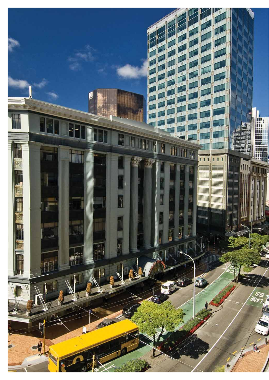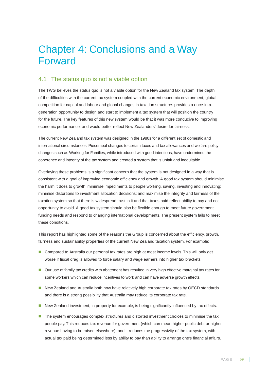# Chapter 4: Conclusions and a Way Forward

## 4.1 The status quo is not a viable option

The TWG believes the status quo is not a viable option for the New Zealand tax system. The depth of the difficulties with the current tax system coupled with the current economic environment, global competition for capital and labour and global changes in taxation structures provides a once-in-ageneration opportunity to design and start to implement a tax system that will position the country for the future. The key features of this new system would be that it was more conducive to improving economic performance, and would better reflect New Zealanders' desire for fairness.

The current New Zealand tax system was designed in the 1980s for a different set of domestic and international circumstances. Piecemeal changes to certain taxes and tax allowances and welfare policy changes such as Working for Families, while introduced with good intentions, have undermined the coherence and integrity of the tax system and created a system that is unfair and inequitable.

Overlaying these problems is a significant concern that the system is not designed in a way that is consistent with a goal of improving economic efficiency and growth. A good tax system should minimise the harm it does to growth; minimise impediments to people working, saving, investing and innovating; minimise distortions to investment allocation decisions; and maximise the integrity and fairness of the taxation system so that there is widespread trust in it and that taxes paid reflect ability to pay and not opportunity to avoid. A good tax system should also be flexible enough to meet future government funding needs and respond to changing international developments. The present system fails to meet these conditions.

This report has highlighted some of the reasons the Group is concerned about the efficiency, growth, fairness and sustainability properties of the current New Zealand taxation system. For example:

- **Compared to Australia our personal tax rates are high at most income levels. This will only get** worse if fiscal drag is allowed to force salary and wage earners into higher tax brackets.
- Our use of family tax credits with abatement has resulted in very high effective marginal tax rates for some workers which can reduce incentives to work and can have adverse growth effects.
- New Zealand and Australia both now have relatively high corporate tax rates by OECD standards and there is a strong possibility that Australia may reduce its corporate tax rate.
- $\blacksquare$  New Zealand investment, in property for example, is being significantly influenced by tax effects.
- **The system encourages complex structures and distorted investment choices to minimise the tax** people pay. This reduces tax revenue for government (which can mean higher public debt or higher revenue having to be raised elsewhere), and it reduces the progressivity of the tax system, with actual tax paid being determined less by ability to pay than ability to arrange one's financial affairs.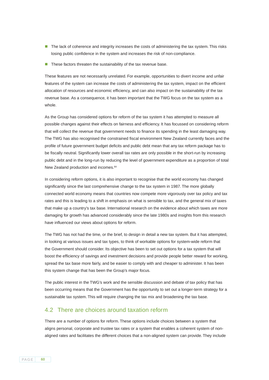- The lack of coherence and integrity increases the costs of administering the tax system. This risks losing public confidence in the system and increases the risk of non-compliance.
- $\blacksquare$  These factors threaten the sustainability of the tax revenue base.

These features are not necessarily unrelated. For example, opportunities to divert income and unfair features of the system can increase the costs of administering the tax system, impact on the efficient allocation of resources and economic efficiency, and can also impact on the sustainability of the tax revenue base. As a consequence, it has been important that the TWG focus on the tax system as a whole.

As the Group has considered options for reform of the tax system it has attempted to measure all possible changes against their effects on fairness and efficiency. It has focussed on considering reform that will collect the revenue that government needs to finance its spending in the least damaging way. The TWG has also recognised the constrained fiscal environment New Zealand currently faces and the profile of future government budget deficits and public debt mean that any tax reform package has to be fiscally neutral. Significantly lower overall tax rates are only possible in the short-run by increasing public debt and in the long-run by reducing the level of government expenditure as a proportion of total New Zealand production and incomes.<sup>64</sup>

In considering reform options, it is also important to recognise that the world economy has changed significantly since the last comprehensive change to the tax system in 1987. The more globally connected world economy means that countries now compete more vigorously over tax policy and tax rates and this is leading to a shift in emphasis on what is sensible to tax, and the general mix of taxes that make up a country's tax base. International research on the evidence about which taxes are more damaging for growth has advanced considerably since the late 1980s and insights from this research have influenced our views about options for reform.

The TWG has not had the time, or the brief, to design in detail a new tax system. But it has attempted, in looking at various issues and tax types, to think of workable options for system-wide reform that the Government should consider. Its objective has been to set out options for a tax system that will boost the efficiency of savings and investment decisions and provide people better reward for working, spread the tax base more fairly, and be easier to comply with and cheaper to administer. It has been this system change that has been the Group's major focus.

The public interest in the TWG's work and the sensible discussion and debate of tax policy that has been occurring means that the Government has the opportunity to set out a longer-term strategy for a sustainable tax system. This will require changing the tax mix and broadening the tax base.

## 4.2 There are choices around taxation reform

There are a number of options for reform. These options include choices between a system that aligns personal, corporate and trustee tax rates or a system that enables a coherent system of nonaligned rates and facilitates the different choices that a non-aligned system can provide. They include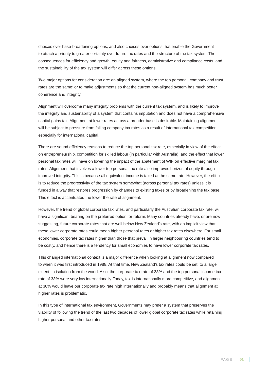choices over base-broadening options, and also choices over options that enable the Government to attach a priority to greater certainty over future tax rates and the structure of the tax system. The consequences for efficiency and growth, equity and fairness, administrative and compliance costs, and the sustainability of the tax system will differ across these options.

Two major options for consideration are: an aligned system, where the top personal, company and trust rates are the same; or to make adjustments so that the current non-aligned system has much better coherence and integrity.

Alignment will overcome many integrity problems with the current tax system, and is likely to improve the integrity and sustainability of a system that contains imputation and does not have a comprehensive capital gains tax. Alignment at lower rates across a broader base is desirable. Maintaining alignment will be subject to pressure from falling company tax rates as a result of international tax competition, especially for international capital.

There are sound efficiency reasons to reduce the top personal tax rate, especially in view of the effect on entrepreneurship, competition for skilled labour (in particular with Australia), and the effect that lower personal tax rates will have on lowering the impact of the abatement of WfF on effective marginal tax rates. Alignment that involves a lower top personal tax rate also improves horizontal equity through improved integrity. This is because all equivalent income is taxed at the same rate. However, the effect is to reduce the progressivity of the tax system somewhat (across personal tax rates) unless it is funded in a way that restores progression by changes to existing taxes or by broadening the tax base. This effect is accentuated the lower the rate of alignment.

However, the trend of global corporate tax rates, and particularly the Australian corporate tax rate, will have a significant bearing on the preferred option for reform. Many countries already have, or are now suggesting, future corporate rates that are well below New Zealand's rate, with an implicit view that these lower corporate rates could mean higher personal rates or higher tax rates elsewhere. For small economies, corporate tax rates higher than those that prevail in larger neighbouring countries tend to be costly, and hence there is a tendency for small economies to have lower corporate tax rates.

This changed international context is a major difference when looking at alignment now compared to when it was first introduced in 1988. At that time, New Zealand's tax rates could be set, to a large extent, in isolation from the world. Also, the corporate tax rate of 33% and the top personal income tax rate of 33% were very low internationally. Today, tax is internationally more competitive, and alignment at 30% would leave our corporate tax rate high internationally and probably means that alignment at higher rates is problematic.

In this type of international tax environment, Governments may prefer a system that preserves the viability of following the trend of the last two decades of lower global corporate tax rates while retaining higher personal and other tax rates.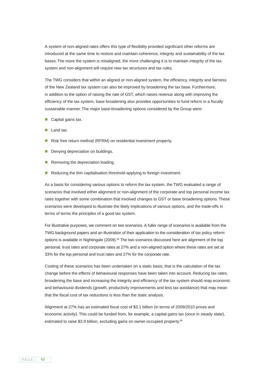A system of non-aligned rates offers this type of flexibility provided significant other reforms are introduced at the same time to restore and maintain coherence, integrity and sustainability of the tax bases. The more the system is misaligned, the more challenging it is to maintain integrity of the tax system and non-alignment will require new tax structures and tax rules.

The TWG considers that within an aligned or non-aligned system, the efficiency, integrity and fairness of the New Zealand tax system can also be improved by broadening the tax base. Furthermore, in addition to the option of raising the rate of GST, which raises revenue along with improving the efficiency of the tax system, base broadening also provides opportunities to fund reform in a fiscally sustainable manner. The major base-broadening options considered by the Group were:

- Capital gains tax.
- **Land tax.**
- Risk free return method (RFRM) on residential investment property.
- Denying depreciation on buildings.
- Removing the depreciation loading.
- Reducing the thin capitalisation threshold applying to foreign investment.

As a basis for considering various options to reform the tax system, the TWG evaluated a range of scenarios that involved either alignment or non-alignment of the corporate and top personal income tax rates together with some combination that involved changes to GST or base broadening options. These scenarios were developed to illustrate the likely implications of various options, and the trade-offs in terms of terms the principles of a good tax system.

For illustrative purposes, we comment on two scenarios. A fuller range of scenarios is available from the TWG background papers and an illustration of their application to the consideration of tax policy reform options is available in Nightingale (2009).<sup>65</sup> The two scenarios discussed here are alignment of the top personal, trust rates and corporate rates at 27% and a non-aligned option where these rates are set at 33% for the top personal and trust rates and 27% for the corporate rate.

Costing of these scenarios has been undertaken on a static basis; that is the calculation of the tax change before the effects of behavioural responses have been taken into account. Reducing tax rates, broadening the base and increasing the integrity and efficiency of the tax system should reap economic and behavioural dividends (growth, productivity improvements and less tax avoidance) that may mean that the fiscal cost of tax reductions is less than the static analysis.

Alignment at 27% has an estimated fiscal cost of \$3.1 billion (in terms of 2009/2010 prices and economic activity). This could be funded from, for example, a capital gains tax (once in steady state), estimated to raise \$3.9 billion, excluding gains on owner-occupied property.<sup>66</sup>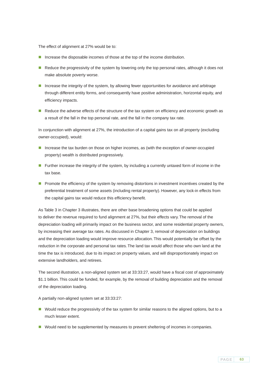The effect of alignment at 27% would be to:

- Increase the disposable incomes of those at the top of the income distribution.
- Reduce the progressivity of the system by lowering only the top personal rates, although it does not make absolute poverty worse.
- **Increase the integrity of the system, by allowing fewer opportunities for avoidance and arbitrage** through different entity forms, and consequently have positive administration, horizontal equity, and efficiency impacts.
- Reduce the adverse effects of the structure of the tax system on efficiency and economic growth as a result of the fall in the top personal rate, and the fall in the company tax rate.

In conjunction with alignment at 27%, the introduction of a capital gains tax on all property (excluding owner-occupied), would:

- **Increase the tax burden on those on higher incomes, as (with the exception of owner-occupied** property) wealth is distributed progressively.
- $\blacksquare$  Further increase the integrity of the system, by including a currently untaxed form of income in the tax base.
- **Promote the efficiency of the system by removing distortions in investment incentives created by the** preferential treatment of some assets (including rental property). However, any lock-in effects from the capital gains tax would reduce this efficiency benefit.

As Table 3 in Chapter 3 illustrates, there are other base broadening options that could be applied to deliver the revenue required to fund alignment at 27%, but their effects vary. The removal of the depreciation loading will primarily impact on the business sector, and some residential property owners, by increasing their average tax rates. As discussed in Chapter 3, removal of depreciation on buildings and the depreciation loading would improve resource allocation. This would potentially be offset by the reduction in the corporate and personal tax rates. The land tax would affect those who own land at the time the tax is introduced, due to its impact on property values, and will disproportionately impact on extensive landholders, and retirees.

The second illustration, a non-aligned system set at 33:33:27, would have a fiscal cost of approximately \$1.1 billion. This could be funded, for example, by the removal of building depreciation and the removal of the depreciation loading.

A partially non-aligned system set at 33:33:27:

- Would reduce the progressivity of the tax system for similar reasons to the aligned options, but to a much lesser extent.
- Would need to be supplemented by measures to prevent sheltering of incomes in companies.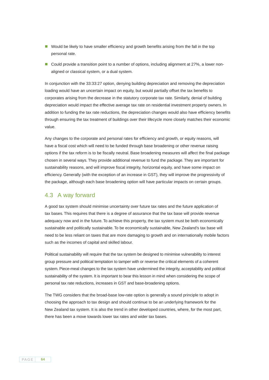- Would be likely to have smaller efficiency and growth benefits arising from the fall in the top personal rate.
- Could provide a transition point to a number of options, including alignment at 27%, a lower nonaligned or classical system, or a dual system.

In conjunction with the 33:33:27 option, denying building depreciation and removing the depreciation loading would have an uncertain impact on equity, but would partially offset the tax benefits to corporates arising from the decrease in the statutory corporate tax rate. Similarly, denial of building depreciation would impact the effective average tax rate on residential investment property owners. In addition to funding the tax rate reductions, the depreciation changes would also have efficiency benefits through ensuring the tax treatment of buildings over their lifecycle more closely matches their economic value.

Any changes to the corporate and personal rates for efficiency and growth, or equity reasons, will have a fiscal cost which will need to be funded through base broadening or other revenue raising options if the tax reform is to be fiscally neutral. Base broadening measures will affect the final package chosen in several ways. They provide additional revenue to fund the package. They are important for sustainability reasons, and will improve fiscal integrity, horizontal equity, and have some impact on efficiency. Generally (with the exception of an increase in GST), they will improve the progressivity of the package, although each base broadening option will have particular impacts on certain groups.

# 4.3 A way forward

A good tax system should minimise uncertainty over future tax rates and the future application of tax bases. This requires that there is a degree of assurance that the tax base will provide revenue adequacy now and in the future. To achieve this property, the tax system must be both economically sustainable and politically sustainable. To be economically sustainable, New Zealand's tax base will need to be less reliant on taxes that are more damaging to growth and on internationally mobile factors such as the incomes of capital and skilled labour.

Political sustainability will require that the tax system be designed to minimise vulnerability to interest group pressure and political temptation to tamper with or reverse the critical elements of a coherent system. Piece-meal changes to the tax system have undermined the integrity, acceptability and political sustainability of the system. It is important to bear this lesson in mind when considering the scope of personal tax rate reductions, increases in GST and base-broadening options.

The TWG considers that the broad-base low-rate option is generally a sound principle to adopt in choosing the approach to tax design and should continue to be an underlying framework for the New Zealand tax system. It is also the trend in other developed countries, where, for the most part, there has been a move towards lower tax rates and wider tax bases.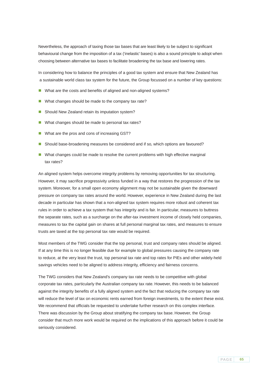Nevertheless, the approach of taxing those tax bases that are least likely to be subject to significant behavioural change from the imposition of a tax ('inelastic' bases) is also a sound principle to adopt when choosing between alternative tax bases to facilitate broadening the tax base and lowering rates.

In considering how to balance the principles of a good tax system and ensure that New Zealand has a sustainable world class tax system for the future, the Group focussed on a number of key questions:

- $\blacksquare$  What are the costs and benefits of aligned and non-aligned systems?
- What changes should be made to the company tax rate?
- Should New Zealand retain its imputation system?
- What changes should be made to personal tax rates?
- What are the pros and cons of increasing GST?
- Should base-broadening measures be considered and if so, which options are favoured?
- What changes could be made to resolve the current problems with high effective marginal tax rates?

An aligned system helps overcome integrity problems by removing opportunities for tax structuring. However, it may sacrifice progressivity unless funded in a way that restores the progression of the tax system. Moreover, for a small open economy alignment may not be sustainable given the downward pressure on company tax rates around the world. However, experience in New Zealand during the last decade in particular has shown that a non-aligned tax system requires more robust and coherent tax rules in order to achieve a tax system that has integrity and is fair. In particular, measures to buttress the separate rates, such as a surcharge on the after-tax investment income of closely held companies, measures to tax the capital gain on shares at full personal marginal tax rates, and measures to ensure trusts are taxed at the top personal tax rate would be required.

Most members of the TWG consider that the top personal, trust and company rates should be aligned. If at any time this is no longer feasible due for example to global pressures causing the company rate to reduce, at the very least the trust, top personal tax rate and top rates for PIEs and other widely-held savings vehicles need to be aligned to address integrity, efficiency and fairness concerns.

The TWG considers that New Zealand's company tax rate needs to be competitive with global corporate tax rates, particularly the Australian company tax rate. However, this needs to be balanced against the integrity benefits of a fully aligned system and the fact that reducing the company tax rate will reduce the level of tax on economic rents earned from foreign investments, to the extent these exist. We recommend that officials be requested to undertake further research on this complex interface. There was discussion by the Group about stratifying the company tax base. However, the Group consider that much more work would be required on the implications of this approach before it could be seriously considered.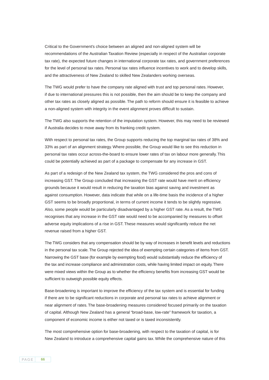Critical to the Government's choice between an aligned and non-aligned system will be recommendations of the Australian Taxation Review (especially in respect of the Australian corporate tax rate), the expected future changes in international corporate tax rates, and government preferences for the level of personal tax rates. Personal tax rates influence incentives to work and to develop skills, and the attractiveness of New Zealand to skilled New Zealanders working overseas.

The TWG would prefer to have the company rate aligned with trust and top personal rates. However, if due to international pressures this is not possible, then the aim should be to keep the company and other tax rates as closely aligned as possible. The path to reform should ensure it is feasible to achieve a non-aligned system with integrity in the event alignment proves difficult to sustain.

The TWG also supports the retention of the imputation system. However, this may need to be reviewed if Australia decides to move away from its franking credit system.

With respect to personal tax rates, the Group supports reducing the top marginal tax rates of 38% and 33% as part of an alignment strategy. Where possible, the Group would like to see this reduction in personal tax rates occur across-the-board to ensure lower rates of tax on labour more generally. This could be potentially achieved as part of a package to compensate for any increase in GST.

As part of a redesign of the New Zealand tax system, the TWG considered the pros and cons of increasing GST. The Group concluded that increasing the GST rate would have merit on efficiency grounds because it would result in reducing the taxation bias against saving and investment as against consumption. However, data indicate that while on a life-time basis the incidence of a higher GST seems to be broadly proportional, in terms of current income it tends to be slightly regressive. Also, some people would be particularly disadvantaged by a higher GST rate. As a result, the TWG recognises that any increase in the GST rate would need to be accompanied by measures to offset adverse equity implications of a rise in GST. These measures would significantly reduce the net revenue raised from a higher GST.

The TWG considers that any compensation should be by way of increases in benefit levels and reductions in the personal tax scale. The Group rejected the idea of exempting certain categories of items from GST. Narrowing the GST base (for example by exempting food) would substantially reduce the efficiency of the tax and increase compliance and administration costs, while having limited impact on equity. There were mixed views within the Group as to whether the efficiency benefits from increasing GST would be sufficient to outweigh possible equity effects.

Base-broadening is important to improve the efficiency of the tax system and is essential for funding if there are to be significant reductions in corporate and personal tax rates to achieve alignment or near alignment of rates. The base-broadening measures considered focused primarily on the taxation of capital. Although New Zealand has a general "broad-base, low-rate" framework for taxation, a component of economic income is either not taxed or is taxed inconsistently.

The most comprehensive option for base-broadening, with respect to the taxation of capital, is for New Zealand to introduce a comprehensive capital gains tax. While the comprehensive nature of this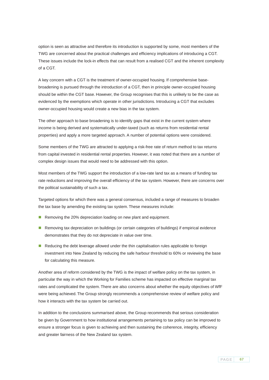option is seen as attractive and therefore its introduction is supported by some, most members of the TWG are concerned about the practical challenges and efficiency implications of introducing a CGT. These issues include the lock-in effects that can result from a realised CGT and the inherent complexity of a CGT.

A key concern with a CGT is the treatment of owner-occupied housing. If comprehensive basebroadening is pursued through the introduction of a CGT, then in principle owner-occupied housing should be within the CGT base. However, the Group recognises that this is unlikely to be the case as evidenced by the exemptions which operate in other jurisdictions. Introducing a CGT that excludes owner-occupied housing would create a new bias in the tax system.

The other approach to base broadening is to identify gaps that exist in the current system where income is being derived and systematically under-taxed (such as returns from residential rental properties) and apply a more targeted approach. A number of potential options were considered.

Some members of the TWG are attracted to applying a risk-free rate of return method to tax returns from capital invested in residential rental properties. However, it was noted that there are a number of complex design issues that would need to be addressed with this option.

Most members of the TWG support the introduction of a low-rate land tax as a means of funding tax rate reductions and improving the overall efficiency of the tax system. However, there are concerns over the political sustainability of such a tax.

Targeted options for which there was a general consensus, included a range of measures to broaden the tax base by amending the existing tax system. These measures include:

- Removing the 20% depreciation loading on new plant and equipment.
- **Removing tax depreciation on buildings (or certain categories of buildings) if empirical evidence** demonstrates that they do not depreciate in value over time.
- Reducing the debt leverage allowed under the thin capitalisation rules applicable to foreign investment into New Zealand by reducing the safe harbour threshold to 60% or reviewing the base for calculating this measure.

Another area of reform considered by the TWG is the impact of welfare policy on the tax system, in particular the way in which the Working for Families scheme has impacted on effective marginal tax rates and complicated the system. There are also concerns about whether the equity objectives of WfF were being achieved. The Group strongly recommends a comprehensive review of welfare policy and how it interacts with the tax system be carried out.

In addition to the conclusions summarised above, the Group recommends that serious consideration be given by Government to how institutional arrangements pertaining to tax policy can be improved to ensure a stronger focus is given to achieving and then sustaining the coherence, integrity, efficiency and greater fairness of the New Zealand tax system.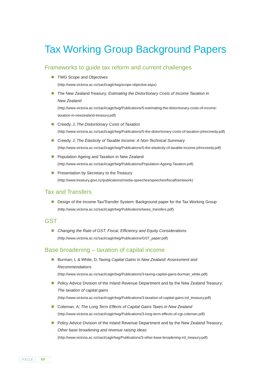# Tax Working Group Background Papers

# Frameworks to guide tax reform and current challenges

- **TWG Scope and Objectives** (http://www.victoria.ac.nz/sacl/cagtr/twg/scope-objective.aspx)
- The New Zealand Treasury; *Estimating the Distortionary Costs of Income Taxation in New Zealand* (http://www.victoria.ac.nz/sacl/cagtr/twg/Publications/5-estimating-the-distortionary-costs-of-incometaxation-in-newzealand-treasury.pdf)
- Creedy, J: *The Distortionary Costs of Taxation* (http://www.victoria.ac.nz/sacl/cagtr/twg/Publications/5-the-distortionary-costs-of-taxation-johncreedy.pdf)
- Creedy, J; *The Elasticity of Taxable Income: A Non-Technical Summary* (http://www.victoria.ac.nz/sacl/cagtr/twg/Publications/5-the-elasticity-of-taxable-income-johncreedy.pdf)
- **Population Ageing and Taxation in New Zealand** (http://www.victoria.ac.nz/sacl/cagtr/twg/Publications/Population-Ageing-Taxation.pdf)
- **Presentation by Secretary to the Treasury** (http://www.treasury.govt.nz/publications/media-speeches/speeches/fiscalframework)

## Tax and Transfers

■ Design of the Income Tax/Transfer System: Background paper for the Tax Working Group (http://www.victoria.ac.nz/sacl/cagtr/twg/Publications/taxes\_transfers.pdf)

## **GST**

■ Changing the Rate of GST: Fiscal, Efficiency and Equity Considerations. (http://www.victoria.ac.nz/sacl/cagtr/twg/Publications/GST\_paper.pdf)

# Base broadening – taxation of capital income

■ Burman, L & White, D; Taxing *Capital Gains in New Zealand: Assessment and Recommendations*

(http://www.victoria.ac.nz/sacl/cagtr/twg/Publications/3-taxing-capital-gains-burman\_white.pdf)

**Policy Advice Division of the Inland Revenue Department and by the New Zealand Treasury;** *The taxation of capital gains* 

(http://www.victoria.ac.nz/sacl/cagtr/twg/Publications/3-taxation-of-capital-gains-ird\_treasury.pdf)

- Coleman, A: *The Long Term Effects of Capital Gains Taxes in New Zealand* (http://www.victoria.ac.nz/sacl/cagtr/twg/Publications/3-long-term-effects-of-cgt-coleman.pdf)
- **Policy Advice Division of the Inland Revenue Department and by the New Zealand Treasury;** *Other base broadening and revenue raising ideas* (http://www.victoria.ac.nz/sacl/cagtr/twg/Publications/3-other-base-broadening-ird\_treasury.pdf)

PAGE **68**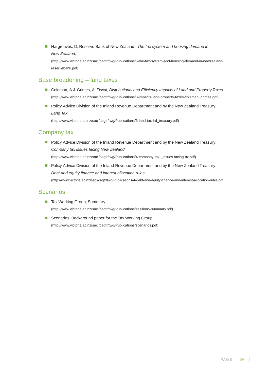■ Hargreaves, D; Reserve Bank of New Zealand; The tax system and housing demand in *New Zealand*;

(http://www.victoria.ac.nz/sacl/cagtr/twg/Publications/5-the-tax-system-and-housing-demand-in-newzealandreservebank.pdf)

## Base broadening – land taxes

- **Coleman, A & Grimes, A; Fiscal, Distributional and Efficiency Impacts of Land and Property Taxes** (http://www.victoria.ac.nz/sacl/cagtr/twg/Publications/3-impacts-land-property-taxes-coleman\_grimes.pdf)
- Policy Advice Division of the Inland Revenue Department and by the New Zealand Treasury; *Land Tax*

(http://www.victoria.ac.nz/sacl/cagtr/twg/Publications/3-land-tax-ird\_treasury.pdf)

## Company tax

- **Policy Advice Division of the Inland Revenue Department and by the New Zealand Treasury;** *Company tax issues facing New Zealand* (http://www.victoria.ac.nz/sacl/cagtr/twg/Publications/4-company-tax-\_issues-facing-nz.pdf)
- **Policy Advice Division of the Inland Revenue Department and by the New Zealand Treasury;** *Debt and equity finance and interest allocation rules* (http://www.victoria.ac.nz/sacl/cagtr/twg/Publications/4-debt-and-equity-finance-and-interest-allocation-rules.pdf)

## **Scenarios**

- **Tax Working Group; Summary** (http://www.victoria.ac.nz/sacl/cagtr/twg/Publications/session5-summary.pdf)
- Scenarios: Background paper for the Tax Working Group (http://www.victoria.ac.nz/sacl/cagtr/twg/Publications/scenarios.pdf)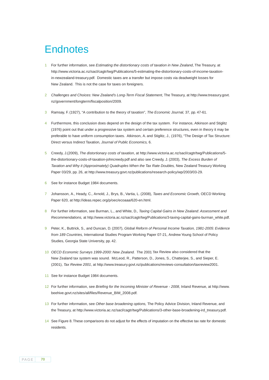# **Endnotes**

- 1 For further information, see *Estimating the distortionary costs of taxation in New Zealand*, The Treasury, at http://www.victoria.ac.nz/sacl/cagtr/twg/Publications/5-estimating-the-distortionary-costs-of-income-taxationin-newzealand-treasury.pdf. Domestic taxes are a transfer but impose costs via deadweight losses for New Zealand. This is not the case for taxes on foreigners.
- 2 *Challenges and Choices: New Zealand's Long-Term Fiscal Statement*, The Treasury, at http://www.treasury.govt. nz/government/longterm/fiscalposition/2009.
- 3 Ramsay, F. (1927), "A contribution to the theory of taxation", *The Economic Journal,* 37, pp. 47-61.
- 4 Furthermore, this conclusion does depend on the design of the tax system. For instance, Atkinson and Stiglitz (1976) point out that under a progressive tax system and certain preference structures, even in theory it may be preferable to have uniform consumption taxes. Atkinson, A. and Stiglitz, J., (1976), "The Design of Tax Structure: Direct versus Indirect Taxation, *Journal of Public Economics,* 6.
- 5 Creedy, J.(2009), *The distortionary costs of taxation*, at http://www.victoria.ac.nz/sacl/cagtr/twg/Publications/5 the-distortionary-costs-of-taxation-johncreedy.pdf and also see Creedy, J. (2003), *The Excess Burden of*  Taxation and Why it (Approximately) Quadruples When the Tax Rate Doubles, New Zealand Treasury Working Paper 03/29, pp. 26, at http://www.treasury.govt.nz/publications/research-policy/wp/2003/03-29.
- 6 See for instance Budget 1984 documents.
- 7 Johansson, A., Heady, C., Arnold, J., Brys, B., Vartia, L. (2008), *Taxes and Economic Growth,* OECD Working Paper 620, at http://ideas.repec.org/p/oec/ecoaaa/620-en.html.
- 8 For further information, see Burman, L., and White, D., *Taxing Capital Gains in New Zealand: Assessment and Recommendations,* at http://www.victoria.ac.nz/sacl/cagtr/twg/Publications/3-taxing-capital-gains-burman\_white.pdf.
- 9 Peter, K., Buttrick, S., and Duncan, D. (2007), *Global Reform of Personal Income Taxation, 1981-2005: Evidence from 189 Countries,* International Studies Program Working Paper 07-21, Andrew Young School of Policy Studies, Georgia State University, pp. 42.
- 10 *OECD Economic Surveys 1999-2000: New Zealand.* The 2001 Tax Review also considered that the New Zealand tax system was sound. McLeod, R., Patterson, D., Jones, S., Chatterjee, S., and Sieper, E. (2001), *Tax Review 2001*, at http://www.treasury.govt.nz/publications/reviews-consultation/taxreview2001.
- 11 See for instance Budget 1984 documents.
- 12 For further information, see *Briefing for the Incoming Minister of Revenue 2008*, Inland Revenue, at http://www. beehive.govt.nz/sites/all/files/Revenue\_BIM\_2008.pdf.
- 13 For further information, see *Other base broadening options,* The Policy Advice Division, Inland Revenue, and the Treasury, at http://www.victoria.ac.nz/sacl/cagtr/twg/Publications/3-other-base-broadening-ird\_treasury.pdf.
- 14 See Figure 8. These comparisons do not adjust for the effects of imputation on the effective tax rate for domestic residents.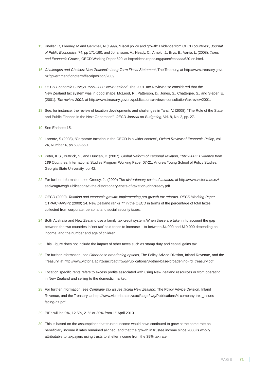- 15 Kneller, R, Bleeney, M and Gemmell, N (1999), "Fiscal policy and growth: Evidence from OECD countries", *Journal of Public Economics*, 74, pp 171-190, and Johansson, A., Heady, C., Arnold, J., Brys, B., Vartia, L. (2008), *Taxes and Economic Growth,* OECD Working Paper 620, at http://ideas.repec.org/p/oec/ecoaaa/620-en.html.
- 16 *Challenges and Choices: New Zealand's Long-Term Fiscal Statement*, The Treasury, at http://www.treasury.govt. nz/government/longterm/fiscalposition/2009.
- 17 *OECD Economic Surveys 1999-2000: New Zealand.* The 2001 Tax Review also considered that the New Zealand tax system was in good shape. McLeod, R., Patterson, D., Jones, S., Chatterjee, S., and Sieper, E. (2001), *Tax review 2001*, at http://www.treasury.govt.nz/publications/reviews-consultation/taxreview2001.
- 18 See, for instance*,* the review of taxation developments and challenges in Tanzi, V. (2008), "The Role of the State and Public Finance in the Next Generation", *OECD Journal on Budgeting*, Vol. 8, No. 2, pp. 27.
- 19 See Endnote 15.
- 20 Lorentz, S (2008), "Corporate taxation in the OECD in a wider context", *Oxford Review of Economic Policy*, Vol. 24, Number 4, pp.639–660.
- 21 Peter, K.S., Buttrick, S., and Duncan, D. (2007), *Global Reform of Personal Taxation, 1981-2005: Evidence from 189 Countries*, International Studies Program Working Paper 07-21, Andrew Young School of Policy Studies, Georgia State University, pp. 42.
- 22 For further information, see Creedy, J., (2009) *The distortionary costs of taxation*, at http://www.victoria.ac.nz/ sacl/cagtr/twg/Publications/5-the-distortionary-costs-of-taxation-johncreedy.pdf.
- 23 OECD (2009). *Taxation and economic growth: Implementing pro-growth tax reforms, OECD Working Paper*  CTPA/CFA/WP2 (2009) 24. New Zealand ranks 7<sup>th</sup> in the OECD in terms of the percentage of total taxes collected from corporate, personal and social security taxes.
- 24 Both Australia and New Zealand use a family tax credit system. When these are taken into account the gap between the two countries in 'net tax' paid tends to increase – to between \$4,000 and \$10,000 depending on income, and the number and age of children.
- 25 This Figure does not include the impact of other taxes such as stamp duty and capital gains tax.
- 26 For further information, see *Other base broadening options,* The Policy Advice Division, Inland Revenue, and the Treasury, at http://www.victoria.ac.nz/sacl/cagtr/twg/Publications/3-other-base-broadening-ird\_treasury.pdf.
- 27 Location specific rents refers to excess profits associated with using New Zealand resources or from operating in New Zealand and selling to the domestic market.
- 28 For further information, see *Company Tax issues facing New Zealand*, The Policy Advice Division, Inland Revenue, and the Treasury, at http://www.victoria.ac.nz/sacl/cagtr/twg/Publications/4-company-tax-\_issuesfacing-nz.pdf.
- 29 PIEs will be 0%, 12.5%, 21% or 30% from 1st April 2010.
- 30 This is based on the assumptions that trustee income would have continued to grow at the same rate as beneficiary income if rates remained aligned, and that the growth in trustee income since 2000 is wholly attributable to taxpayers using trusts to shelter income from the 39% tax rate.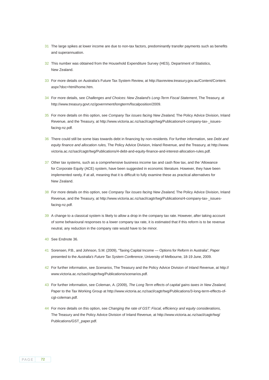- 31 The large spikes at lower income are due to non-tax factors, predominantly transfer payments such as benefits and superannuation.
- 32 This number was obtained from the Household Expenditure Survey (HES), Department of Statistics, New Zealand.
- 33 For more details on Australia's Future Tax System Review, at http://taxreview.treasury.gov.au/Content/Content. aspx?doc=html/home.htm.
- 34 For more details, see *Challenges and Choices: New Zealand's Long-Term Fiscal Statement*, The Treasury, at http://www.treasury.govt.nz/government/longterm/fiscalposition/2009.
- 35 For more details on this option, see *Company Tax issues facing New Zealand,* The Policy Advice Division, Inland Revenue, and the Treasury, at http://www.victoria.ac.nz/sacl/cagtr/twg/Publications/4-company-tax-\_issuesfacing-nz.pdf.
- 36 There could still be some bias towards debt in financing by non-residents. For further information, see *Debt and equity finance and allocation rules,* The Policy Advice Division, Inland Revenue, and the Treasury, at http://www. victoria.ac.nz/sacl/cagtr/twg/Publications/4-debt-and-equity-finance-and-interest-allocation-rules.pdf.
- 37 Other tax systems, such as a comprehensive business income tax and cash flow tax, and the 'Allowance for Corporate Equity (ACE) system, have been suggested in economic literature. However, they have been implemented rarely, if at all, meaning that it is difficult to fully examine these as practical alternatives for New Zealand.
- 38 For more details on this option, see *Company Tax issues facing New Zealand,* The Policy Advice Division, Inland Revenue, and the Treasury, at http://www.victoria.ac.nz/sacl/cagtr/twg/Publications/4-company-tax-\_issuesfacing-nz.pdf.
- 39 A change to a classical system is likely to allow a drop in the company tax rate. However, after taking account of some behavioural responses to a lower company tax rate, it is estimated that if this reform is to be revenue neutral, any reduction in the company rate would have to be minor.
- 40 See Endnote 36.
- 41 Sorensen, P.B., and Johnson, S.M. (2009), "Taxing Capital Income Options for Reform in Australia", Paper presented to the *Australia's Future Tax System Conference*, University of Melbourne, 18-19 June, 2009.
- 42 For further information, see *Scenarios*, The Treasury and the Policy Advice Division of Inland Revenue, at http:// www.victoria.ac.nz/sacl/cagtr/twg/Publications/scenarios.pdf.
- 43 For further information, see Coleman, A. (2009), *The Long Term effects of capital gains taxes in New Zealand,* Paper to the Tax Working Group at http://www.victoria.ac.nz/sacl/cagtr/twg/Publications/3-long-term-effects-ofcgt-coleman.pdf.
- 44 For more details on this option, see *Changing the rate of GST: Fiscal, efficiency and equity considerations,* The Treasury and the Policy Advice Division of Inland Revenue, at http://www.victoria.ac.nz/sacl/cagtr/twg/ Publications/GST\_paper.pdf.

PAGE **72**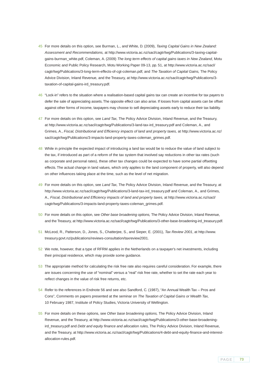- 45 For more details on this option, see Burman, L., and White, D. (2009), *Taxing Capital Gains in New Zealand: Assessment and Recommendations,* at http://www.victoria.ac.nz/sacl/cagtr/twg/Publications/3-taxing-capitalgains-burman\_white.pdf, Coleman, A. (2009) *The long term effects of capital gains taxes in New Zealand*, Motu Economic and Public Policy Research, Motu Working Paper 09-13, pp. 51, at http://www.victoria.ac.nz/sacl/ cagtr/twg/Publications/3-long-term-effects-of-cgt-coleman.pdf, and *The Taxation of Capital Gains,* The Policy Advice Division, Inland Revenue, and the Treasury, at http://www.victoria.ac.nz/sacl/cagtr/twg/Publications/3 taxation-of-capital-gains-ird\_treasury.pdf.
- 46 "Lock-in" refers to the situation where a realisation-based capital gains tax can create an incentive for tax payers to defer the sale of appreciating assets. The opposite effect can also arise. If losses from capital assets can be offset against other forms of income, taxpayers may choose to sell depreciating assets early to reduce their tax liability.
- 47 For more details on this option, see *Land Tax,* The Policy Advice Division, Inland Revenue, and the Treasury, at http://www.victoria.ac.nz/sacl/cagtr/twg/Publications/3-land-tax-ird\_treasury.pdf and Coleman, A., and Grimes, A., *Fiscal, Distributional and Efficiency impacts of land and property taxes*, at http://www.victoria.ac.nz/ sacl/cagtr/twg/Publications/3-impacts-land-property-taxes-coleman\_grimes.pdf.
- 48 While in principle the expected impact of introducing a land tax would be to reduce the value of land subject to the tax, if introduced as part of a reform of the tax system that involved say reductions in other tax rates (such as corporate and personal rates), these other tax changes could be expected to have some partial offsetting effects. The actual change in land values, which only applies to the land component of property, will also depend on other influences taking place at the time, such as the level of net migration.
- 49 For more details on this option, see *Land Tax,* The Policy Advice Division, Inland Revenue, and the Treasury, at http://www.victoria.ac.nz/sacl/cagtr/twg/Publications/3-land-tax-ird\_treasury.pdf and Coleman, A., and Grimes, A., *Fiscal, Distributional and Efficiency impacts of land and property taxes, at http://www.victoria.ac.nz/sacl/* cagtr/twg/Publications/3-impacts-land-property-taxes-coleman\_grimes.pdf.
- 50 For more details on this option, see *Other base broadening options,* The Policy Advice Division, Inland Revenue, and the Treasury, at http://www.victoria.ac.nz/sacl/cagtr/twg/Publications/3-other-base-broadening-ird\_treasury.pdf.
- 51 McLeod, R., Patterson, D., Jones, S., Chatterjee, S., and Sieper, E. (2001), *Tax Review 2001*, at http://www. treasury.govt.nz/publications/reviews-consultation/taxreview2001.
- 52 We note, however, that a type of RFRM applies in the Netherlands on a taxpayer's net investments, including their principal residence, which may provide some guidance.
- 53 The appropriate method for calculating the risk free rate also requires careful consideration. For example, there are issues concerning the use of "nominal" versus a "real" risk free rate, whether to set the rate each year to reflect changes in the value of risk free returns, etc.
- 54 Refer to the references in Endnote 56 and see also Sandford, C. (1987), "An Annual Wealth Tax Pros and Cons", Comments on papers presented at the seminar on *The Taxation of Capital Gains or Wealth Tax,*  10 February 1987, Institute of Policy Studies, Victoria University of Wellington.
- 55 For more details on these options, see *Other base broadening options,* The Policy Advice Division, Inland Revenue, and the Treasury, at http://www.victoria.ac.nz/sacl/cagtr/twg/Publications/3-other-base-broadeningird\_treasury.pdf and *Debt and equity finance and allocation rules*, The Policy Advice Division, Inland Revenue, and the Treasury, at http://www.victoria.ac.nz/sacl/cagtr/twg/Publications/4-debt-and-equity-finance-and-interestallocation-rules.pdf.